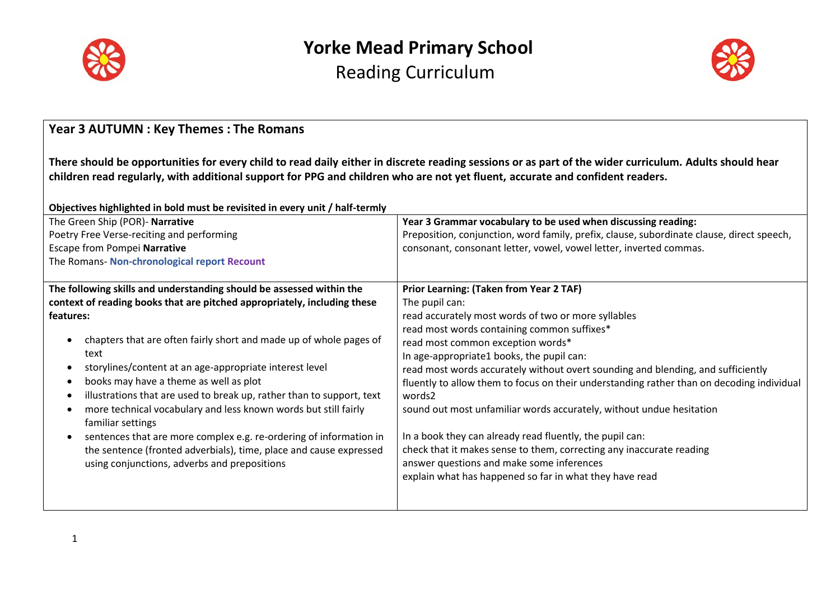



| <b>Year 3 AUTUMN : Key Themes : The Romans</b>                                                                                                                                                                                                                                                                                                                                                                                                                                                                                                                                                                                                                                                                                                                    |                                                                                                                                                                                                                                                                                                                                                                                                                                                                                                                                                                                                                                                                                                                                                                         |  |  |  |
|-------------------------------------------------------------------------------------------------------------------------------------------------------------------------------------------------------------------------------------------------------------------------------------------------------------------------------------------------------------------------------------------------------------------------------------------------------------------------------------------------------------------------------------------------------------------------------------------------------------------------------------------------------------------------------------------------------------------------------------------------------------------|-------------------------------------------------------------------------------------------------------------------------------------------------------------------------------------------------------------------------------------------------------------------------------------------------------------------------------------------------------------------------------------------------------------------------------------------------------------------------------------------------------------------------------------------------------------------------------------------------------------------------------------------------------------------------------------------------------------------------------------------------------------------------|--|--|--|
| There should be opportunities for every child to read daily either in discrete reading sessions or as part of the wider curriculum. Adults should hear<br>children read regularly, with additional support for PPG and children who are not yet fluent, accurate and confident readers.<br>Objectives highlighted in bold must be revisited in every unit / half-termly                                                                                                                                                                                                                                                                                                                                                                                           |                                                                                                                                                                                                                                                                                                                                                                                                                                                                                                                                                                                                                                                                                                                                                                         |  |  |  |
| The Green Ship (POR)- Narrative<br>Poetry Free Verse-reciting and performing<br>Escape from Pompei Narrative                                                                                                                                                                                                                                                                                                                                                                                                                                                                                                                                                                                                                                                      | Year 3 Grammar vocabulary to be used when discussing reading:<br>Preposition, conjunction, word family, prefix, clause, subordinate clause, direct speech,<br>consonant, consonant letter, vowel, vowel letter, inverted commas.                                                                                                                                                                                                                                                                                                                                                                                                                                                                                                                                        |  |  |  |
| The Romans- Non-chronological report Recount                                                                                                                                                                                                                                                                                                                                                                                                                                                                                                                                                                                                                                                                                                                      |                                                                                                                                                                                                                                                                                                                                                                                                                                                                                                                                                                                                                                                                                                                                                                         |  |  |  |
| The following skills and understanding should be assessed within the<br>context of reading books that are pitched appropriately, including these<br>features:<br>chapters that are often fairly short and made up of whole pages of<br>$\bullet$<br>text<br>storylines/content at an age-appropriate interest level<br>$\bullet$<br>books may have a theme as well as plot<br>$\bullet$<br>illustrations that are used to break up, rather than to support, text<br>$\bullet$<br>more technical vocabulary and less known words but still fairly<br>familiar settings<br>sentences that are more complex e.g. re-ordering of information in<br>the sentence (fronted adverbials), time, place and cause expressed<br>using conjunctions, adverbs and prepositions | <b>Prior Learning: (Taken from Year 2 TAF)</b><br>The pupil can:<br>read accurately most words of two or more syllables<br>read most words containing common suffixes*<br>read most common exception words*<br>In age-appropriate1 books, the pupil can:<br>read most words accurately without overt sounding and blending, and sufficiently<br>fluently to allow them to focus on their understanding rather than on decoding individual<br>words2<br>sound out most unfamiliar words accurately, without undue hesitation<br>In a book they can already read fluently, the pupil can:<br>check that it makes sense to them, correcting any inaccurate reading<br>answer questions and make some inferences<br>explain what has happened so far in what they have read |  |  |  |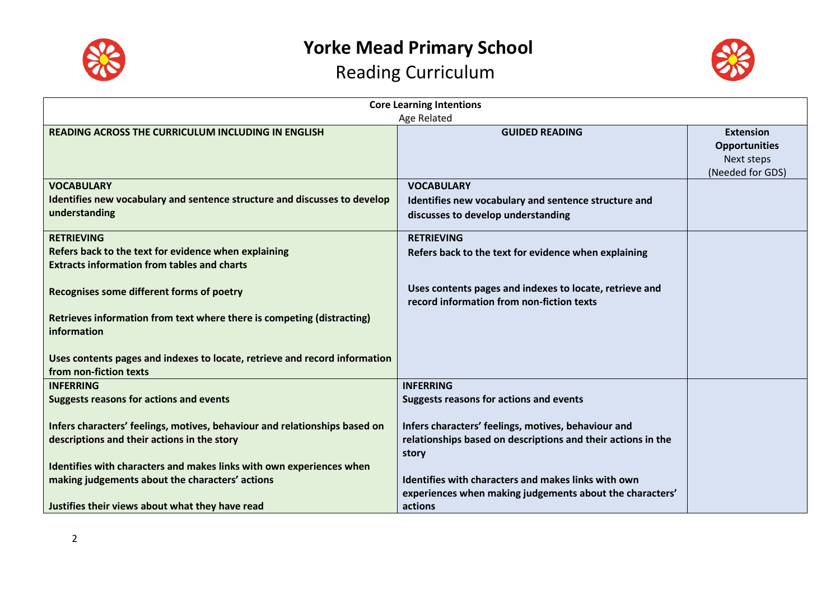



| <b>Core Learning Intentions</b>                                                                                 |                                                                                                                 |                                                                            |  |
|-----------------------------------------------------------------------------------------------------------------|-----------------------------------------------------------------------------------------------------------------|----------------------------------------------------------------------------|--|
|                                                                                                                 | Age Related                                                                                                     |                                                                            |  |
| READING ACROSS THE CURRICULUM INCLUDING IN ENGLISH                                                              | <b>GUIDED READING</b>                                                                                           | <b>Extension</b><br><b>Opportunities</b><br>Next steps<br>(Needed for GDS) |  |
| <b>VOCABULARY</b><br>Identifies new vocabulary and sentence structure and discusses to develop<br>understanding | <b>VOCABULARY</b><br>Identifies new vocabulary and sentence structure and<br>discusses to develop understanding |                                                                            |  |
|                                                                                                                 |                                                                                                                 |                                                                            |  |
| <b>RETRIEVING</b>                                                                                               | <b>RETRIEVING</b>                                                                                               |                                                                            |  |
| Refers back to the text for evidence when explaining<br><b>Extracts information from tables and charts</b>      | Refers back to the text for evidence when explaining                                                            |                                                                            |  |
| Recognises some different forms of poetry                                                                       | Uses contents pages and indexes to locate, retrieve and<br>record information from non-fiction texts            |                                                                            |  |
| Retrieves information from text where there is competing (distracting)<br>information                           |                                                                                                                 |                                                                            |  |
| Uses contents pages and indexes to locate, retrieve and record information<br>from non-fiction texts            |                                                                                                                 |                                                                            |  |
| <b>INFERRING</b>                                                                                                | <b>INFERRING</b>                                                                                                |                                                                            |  |
| <b>Suggests reasons for actions and events</b>                                                                  | <b>Suggests reasons for actions and events</b>                                                                  |                                                                            |  |
| Infers characters' feelings, motives, behaviour and relationships based on                                      | Infers characters' feelings, motives, behaviour and                                                             |                                                                            |  |
| descriptions and their actions in the story                                                                     | relationships based on descriptions and their actions in the                                                    |                                                                            |  |
|                                                                                                                 | story                                                                                                           |                                                                            |  |
| Identifies with characters and makes links with own experiences when                                            |                                                                                                                 |                                                                            |  |
| making judgements about the characters' actions                                                                 | Identifies with characters and makes links with own                                                             |                                                                            |  |
|                                                                                                                 | experiences when making judgements about the characters'                                                        |                                                                            |  |
| Justifies their views about what they have read                                                                 | actions                                                                                                         |                                                                            |  |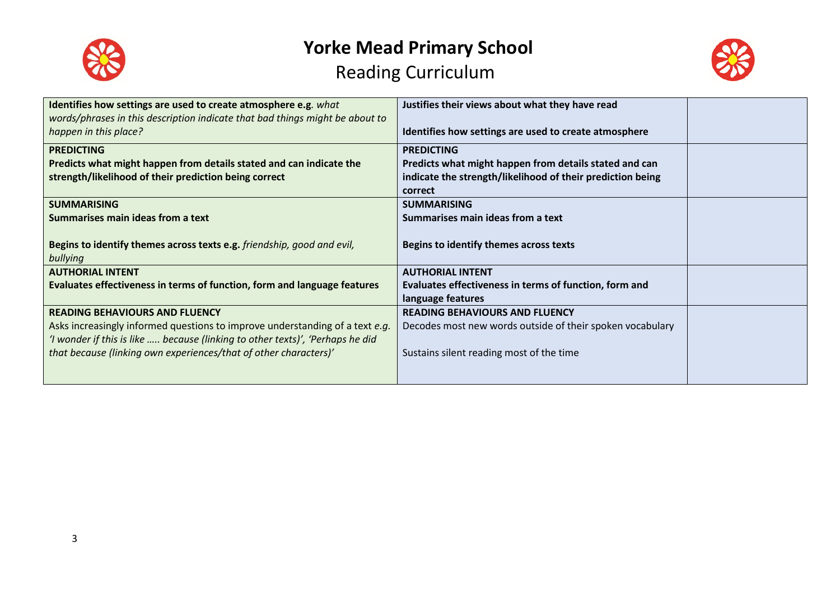



| Identifies how settings are used to create atmosphere e.g. what<br>words/phrases in this description indicate that bad things might be about to<br>happen in this place?                                                                                                   | Justifies their views about what they have read<br>Identifies how settings are used to create atmosphere                                             |  |
|----------------------------------------------------------------------------------------------------------------------------------------------------------------------------------------------------------------------------------------------------------------------------|------------------------------------------------------------------------------------------------------------------------------------------------------|--|
| <b>PREDICTING</b><br>Predicts what might happen from details stated and can indicate the<br>strength/likelihood of their prediction being correct                                                                                                                          | <b>PREDICTING</b><br>Predicts what might happen from details stated and can<br>indicate the strength/likelihood of their prediction being<br>correct |  |
| <b>SUMMARISING</b><br>Summarises main ideas from a text<br>Begins to identify themes across texts e.g. friendship, good and evil,                                                                                                                                          | <b>SUMMARISING</b><br>Summarises main ideas from a text<br>Begins to identify themes across texts                                                    |  |
| bullying<br><b>AUTHORIAL INTENT</b><br>Evaluates effectiveness in terms of function, form and language features                                                                                                                                                            | <b>AUTHORIAL INTENT</b><br>Evaluates effectiveness in terms of function, form and<br>language features                                               |  |
| <b>READING BEHAVIOURS AND FLUENCY</b><br>Asks increasingly informed questions to improve understanding of a text e.g.<br>'I wonder if this is like  because (linking to other texts)', 'Perhaps he did<br>that because (linking own experiences/that of other characters)' | <b>READING BEHAVIOURS AND FLUENCY</b><br>Decodes most new words outside of their spoken vocabulary<br>Sustains silent reading most of the time       |  |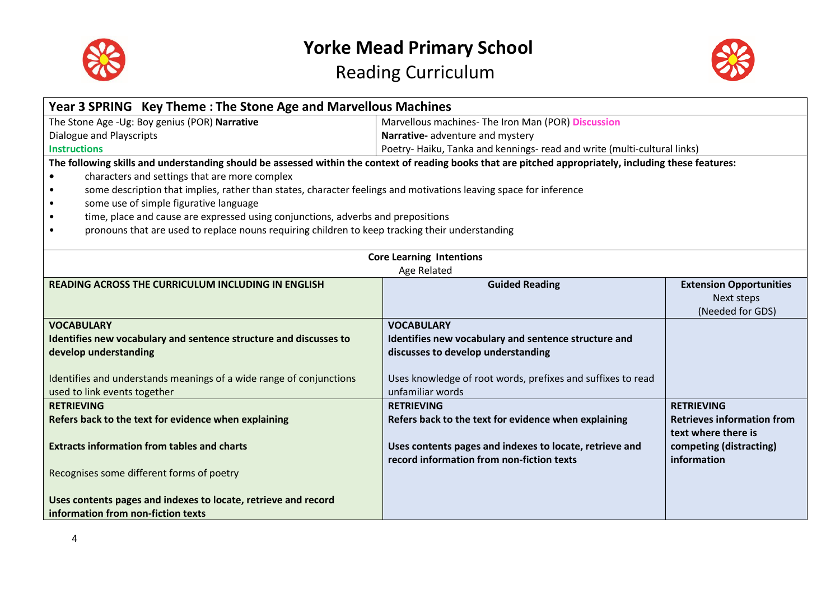



| Year 3 SPRING Key Theme: The Stone Age and Marvellous Machines                                                                                          |                                                                         |                                   |
|---------------------------------------------------------------------------------------------------------------------------------------------------------|-------------------------------------------------------------------------|-----------------------------------|
| Marvellous machines- The Iron Man (POR) Discussion<br>The Stone Age - Ug: Boy genius (POR) Narrative                                                    |                                                                         |                                   |
| <b>Dialogue and Playscripts</b>                                                                                                                         | Narrative- adventure and mystery                                        |                                   |
| <b>Instructions</b>                                                                                                                                     | Poetry-Haiku, Tanka and kennings- read and write (multi-cultural links) |                                   |
| The following skills and understanding should be assessed within the context of reading books that are pitched appropriately, including these features: |                                                                         |                                   |
| characters and settings that are more complex                                                                                                           |                                                                         |                                   |
| some description that implies, rather than states, character feelings and motivations leaving space for inference                                       |                                                                         |                                   |
| some use of simple figurative language                                                                                                                  |                                                                         |                                   |
| time, place and cause are expressed using conjunctions, adverbs and prepositions                                                                        |                                                                         |                                   |
| pronouns that are used to replace nouns requiring children to keep tracking their understanding                                                         |                                                                         |                                   |
|                                                                                                                                                         | <b>Core Learning Intentions</b>                                         |                                   |
|                                                                                                                                                         | Age Related                                                             |                                   |
| <b>READING ACROSS THE CURRICULUM INCLUDING IN ENGLISH</b>                                                                                               | <b>Guided Reading</b>                                                   | <b>Extension Opportunities</b>    |
|                                                                                                                                                         |                                                                         | Next steps                        |
|                                                                                                                                                         |                                                                         | (Needed for GDS)                  |
| <b>VOCABULARY</b>                                                                                                                                       | <b>VOCABULARY</b>                                                       |                                   |
| Identifies new vocabulary and sentence structure and discusses to                                                                                       | Identifies new vocabulary and sentence structure and                    |                                   |
| develop understanding                                                                                                                                   | discusses to develop understanding                                      |                                   |
|                                                                                                                                                         |                                                                         |                                   |
| Identifies and understands meanings of a wide range of conjunctions                                                                                     | Uses knowledge of root words, prefixes and suffixes to read             |                                   |
| used to link events together                                                                                                                            | unfamiliar words                                                        |                                   |
| <b>RETRIEVING</b>                                                                                                                                       | <b>RETRIEVING</b>                                                       | <b>RETRIEVING</b>                 |
| Refers back to the text for evidence when explaining                                                                                                    | Refers back to the text for evidence when explaining                    | <b>Retrieves information from</b> |
|                                                                                                                                                         |                                                                         | text where there is               |
| <b>Extracts information from tables and charts</b>                                                                                                      | Uses contents pages and indexes to locate, retrieve and                 | competing (distracting)           |
|                                                                                                                                                         | record information from non-fiction texts                               | information                       |
| Recognises some different forms of poetry                                                                                                               |                                                                         |                                   |
|                                                                                                                                                         |                                                                         |                                   |
| Uses contents pages and indexes to locate, retrieve and record                                                                                          |                                                                         |                                   |
| information from non-fiction texts                                                                                                                      |                                                                         |                                   |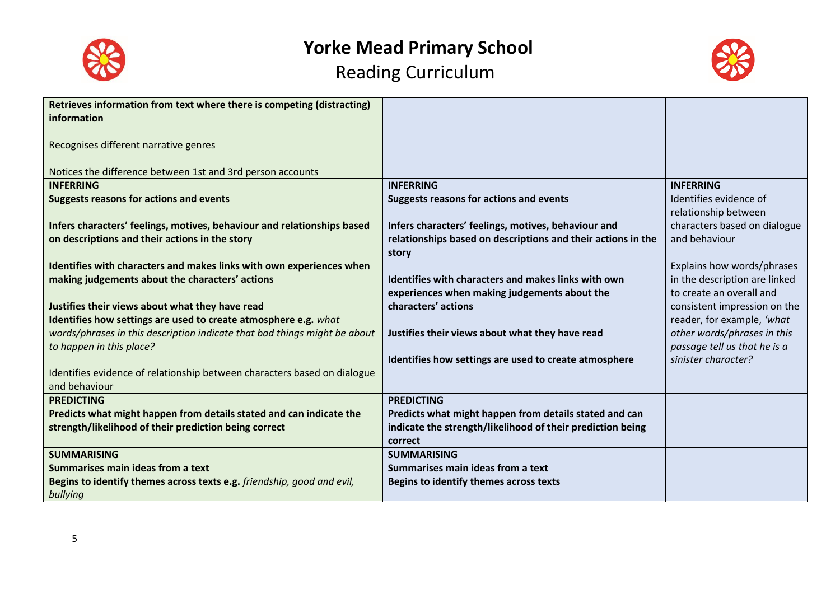



| Retrieves information from text where there is competing (distracting)                                                                                                                                                                                                                                                                                                                                                                                                                  |                                                                                                                                                                                                                                                                                                  |                                                                                    |
|-----------------------------------------------------------------------------------------------------------------------------------------------------------------------------------------------------------------------------------------------------------------------------------------------------------------------------------------------------------------------------------------------------------------------------------------------------------------------------------------|--------------------------------------------------------------------------------------------------------------------------------------------------------------------------------------------------------------------------------------------------------------------------------------------------|------------------------------------------------------------------------------------|
| information                                                                                                                                                                                                                                                                                                                                                                                                                                                                             |                                                                                                                                                                                                                                                                                                  |                                                                                    |
|                                                                                                                                                                                                                                                                                                                                                                                                                                                                                         |                                                                                                                                                                                                                                                                                                  |                                                                                    |
| Recognises different narrative genres                                                                                                                                                                                                                                                                                                                                                                                                                                                   |                                                                                                                                                                                                                                                                                                  |                                                                                    |
|                                                                                                                                                                                                                                                                                                                                                                                                                                                                                         |                                                                                                                                                                                                                                                                                                  |                                                                                    |
| Notices the difference between 1st and 3rd person accounts                                                                                                                                                                                                                                                                                                                                                                                                                              |                                                                                                                                                                                                                                                                                                  |                                                                                    |
| <b>INFERRING</b>                                                                                                                                                                                                                                                                                                                                                                                                                                                                        | <b>INFERRING</b>                                                                                                                                                                                                                                                                                 | <b>INFERRING</b>                                                                   |
| <b>Suggests reasons for actions and events</b>                                                                                                                                                                                                                                                                                                                                                                                                                                          | <b>Suggests reasons for actions and events</b>                                                                                                                                                                                                                                                   | Identifies evidence of                                                             |
|                                                                                                                                                                                                                                                                                                                                                                                                                                                                                         |                                                                                                                                                                                                                                                                                                  | relationship between                                                               |
| Infers characters' feelings, motives, behaviour and relationships based                                                                                                                                                                                                                                                                                                                                                                                                                 | Infers characters' feelings, motives, behaviour and                                                                                                                                                                                                                                              | characters based on dialogue                                                       |
| on descriptions and their actions in the story                                                                                                                                                                                                                                                                                                                                                                                                                                          | relationships based on descriptions and their actions in the                                                                                                                                                                                                                                     | and behaviour                                                                      |
|                                                                                                                                                                                                                                                                                                                                                                                                                                                                                         | story                                                                                                                                                                                                                                                                                            |                                                                                    |
| Identifies with characters and makes links with own experiences when                                                                                                                                                                                                                                                                                                                                                                                                                    |                                                                                                                                                                                                                                                                                                  | Explains how words/phrases                                                         |
| making judgements about the characters' actions                                                                                                                                                                                                                                                                                                                                                                                                                                         | Identifies with characters and makes links with own                                                                                                                                                                                                                                              | in the description are linked                                                      |
|                                                                                                                                                                                                                                                                                                                                                                                                                                                                                         | experiences when making judgements about the                                                                                                                                                                                                                                                     | to create an overall and                                                           |
| Justifies their views about what they have read                                                                                                                                                                                                                                                                                                                                                                                                                                         | characters' actions                                                                                                                                                                                                                                                                              | consistent impression on the                                                       |
| Identifies how settings are used to create atmosphere e.g. what                                                                                                                                                                                                                                                                                                                                                                                                                         |                                                                                                                                                                                                                                                                                                  | reader, for example, 'what                                                         |
|                                                                                                                                                                                                                                                                                                                                                                                                                                                                                         |                                                                                                                                                                                                                                                                                                  |                                                                                    |
|                                                                                                                                                                                                                                                                                                                                                                                                                                                                                         |                                                                                                                                                                                                                                                                                                  |                                                                                    |
|                                                                                                                                                                                                                                                                                                                                                                                                                                                                                         |                                                                                                                                                                                                                                                                                                  |                                                                                    |
|                                                                                                                                                                                                                                                                                                                                                                                                                                                                                         |                                                                                                                                                                                                                                                                                                  |                                                                                    |
| and behaviour                                                                                                                                                                                                                                                                                                                                                                                                                                                                           |                                                                                                                                                                                                                                                                                                  |                                                                                    |
|                                                                                                                                                                                                                                                                                                                                                                                                                                                                                         | <b>PREDICTING</b>                                                                                                                                                                                                                                                                                |                                                                                    |
|                                                                                                                                                                                                                                                                                                                                                                                                                                                                                         |                                                                                                                                                                                                                                                                                                  |                                                                                    |
|                                                                                                                                                                                                                                                                                                                                                                                                                                                                                         |                                                                                                                                                                                                                                                                                                  |                                                                                    |
|                                                                                                                                                                                                                                                                                                                                                                                                                                                                                         | correct                                                                                                                                                                                                                                                                                          |                                                                                    |
|                                                                                                                                                                                                                                                                                                                                                                                                                                                                                         |                                                                                                                                                                                                                                                                                                  |                                                                                    |
|                                                                                                                                                                                                                                                                                                                                                                                                                                                                                         | Summarises main ideas from a text                                                                                                                                                                                                                                                                |                                                                                    |
|                                                                                                                                                                                                                                                                                                                                                                                                                                                                                         |                                                                                                                                                                                                                                                                                                  |                                                                                    |
|                                                                                                                                                                                                                                                                                                                                                                                                                                                                                         |                                                                                                                                                                                                                                                                                                  |                                                                                    |
| words/phrases in this description indicate that bad things might be about<br>to happen in this place?<br>Identifies evidence of relationship between characters based on dialogue<br><b>PREDICTING</b><br>Predicts what might happen from details stated and can indicate the<br>strength/likelihood of their prediction being correct<br><b>SUMMARISING</b><br>Summarises main ideas from a text<br>Begins to identify themes across texts e.g. friendship, good and evil,<br>bullying | Justifies their views about what they have read<br>Identifies how settings are used to create atmosphere<br>Predicts what might happen from details stated and can<br>indicate the strength/likelihood of their prediction being<br><b>SUMMARISING</b><br>Begins to identify themes across texts | other words/phrases in this<br>passage tell us that he is a<br>sinister character? |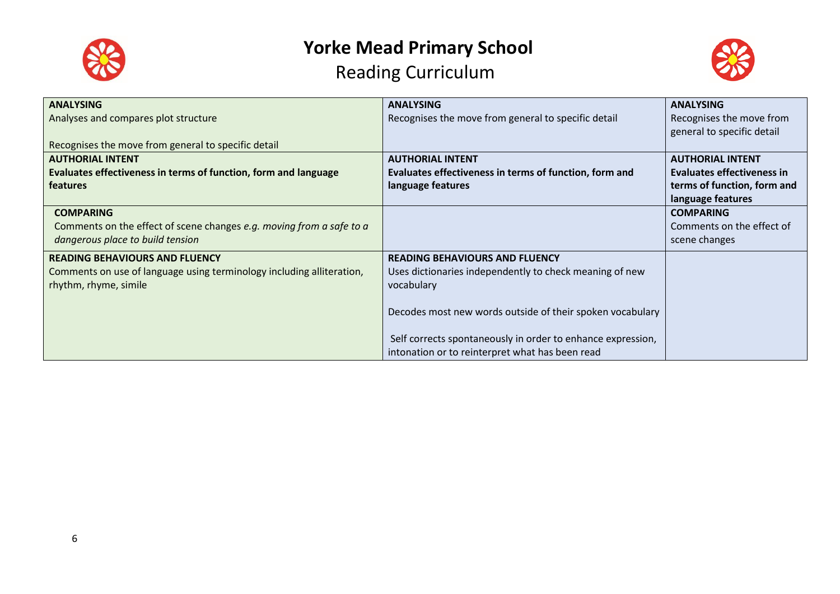



| <b>ANALYSING</b>                                                      | <b>ANALYSING</b>                                            | <b>ANALYSING</b>            |
|-----------------------------------------------------------------------|-------------------------------------------------------------|-----------------------------|
| Analyses and compares plot structure                                  | Recognises the move from general to specific detail         | Recognises the move from    |
|                                                                       |                                                             | general to specific detail  |
| Recognises the move from general to specific detail                   |                                                             |                             |
| <b>AUTHORIAL INTENT</b>                                               | <b>AUTHORIAL INTENT</b>                                     | <b>AUTHORIAL INTENT</b>     |
| Evaluates effectiveness in terms of function, form and language       | Evaluates effectiveness in terms of function, form and      | Evaluates effectiveness in  |
| features                                                              | language features                                           | terms of function, form and |
|                                                                       |                                                             | language features           |
| <b>COMPARING</b>                                                      |                                                             | <b>COMPARING</b>            |
| Comments on the effect of scene changes e.g. moving from a safe to a  |                                                             | Comments on the effect of   |
| dangerous place to build tension                                      |                                                             | scene changes               |
| <b>READING BEHAVIOURS AND FLUENCY</b>                                 | <b>READING BEHAVIOURS AND FLUENCY</b>                       |                             |
| Comments on use of language using terminology including alliteration, | Uses dictionaries independently to check meaning of new     |                             |
| rhythm, rhyme, simile                                                 | vocabulary                                                  |                             |
|                                                                       |                                                             |                             |
|                                                                       | Decodes most new words outside of their spoken vocabulary   |                             |
|                                                                       |                                                             |                             |
|                                                                       | Self corrects spontaneously in order to enhance expression, |                             |
|                                                                       | intonation or to reinterpret what has been read             |                             |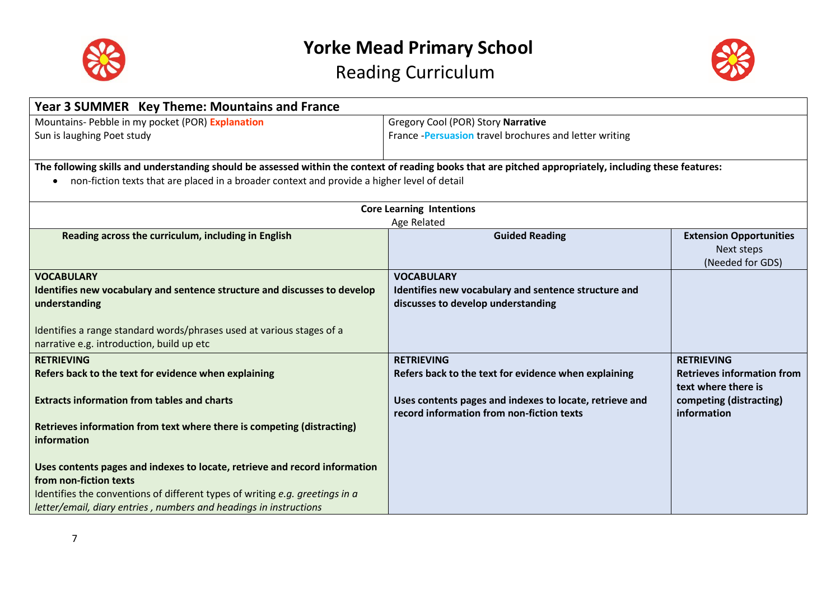



| Year 3 SUMMER Key Theme: Mountains and France                                                                                                           |                                                         |                                                          |
|---------------------------------------------------------------------------------------------------------------------------------------------------------|---------------------------------------------------------|----------------------------------------------------------|
| Mountains- Pebble in my pocket (POR) Explanation                                                                                                        | Gregory Cool (POR) Story Narrative                      |                                                          |
| Sun is laughing Poet study                                                                                                                              | France - Persuasion travel brochures and letter writing |                                                          |
|                                                                                                                                                         |                                                         |                                                          |
| The following skills and understanding should be assessed within the context of reading books that are pitched appropriately, including these features: |                                                         |                                                          |
| non-fiction texts that are placed in a broader context and provide a higher level of detail<br>$\bullet$                                                |                                                         |                                                          |
|                                                                                                                                                         |                                                         |                                                          |
|                                                                                                                                                         | <b>Core Learning Intentions</b><br>Age Related          |                                                          |
| Reading across the curriculum, including in English                                                                                                     | <b>Guided Reading</b>                                   | <b>Extension Opportunities</b>                           |
|                                                                                                                                                         |                                                         | Next steps                                               |
|                                                                                                                                                         |                                                         | (Needed for GDS)                                         |
| <b>VOCABULARY</b>                                                                                                                                       | <b>VOCABULARY</b>                                       |                                                          |
| Identifies new vocabulary and sentence structure and discusses to develop                                                                               | Identifies new vocabulary and sentence structure and    |                                                          |
| understanding                                                                                                                                           | discusses to develop understanding                      |                                                          |
|                                                                                                                                                         |                                                         |                                                          |
| Identifies a range standard words/phrases used at various stages of a                                                                                   |                                                         |                                                          |
| narrative e.g. introduction, build up etc                                                                                                               |                                                         |                                                          |
| <b>RETRIEVING</b>                                                                                                                                       | <b>RETRIEVING</b>                                       | <b>RETRIEVING</b>                                        |
| Refers back to the text for evidence when explaining                                                                                                    | Refers back to the text for evidence when explaining    | <b>Retrieves information from</b><br>text where there is |
| <b>Extracts information from tables and charts</b>                                                                                                      | Uses contents pages and indexes to locate, retrieve and | competing (distracting)                                  |
|                                                                                                                                                         | record information from non-fiction texts               | information                                              |
| Retrieves information from text where there is competing (distracting)                                                                                  |                                                         |                                                          |
| information                                                                                                                                             |                                                         |                                                          |
|                                                                                                                                                         |                                                         |                                                          |
| Uses contents pages and indexes to locate, retrieve and record information                                                                              |                                                         |                                                          |
| from non-fiction texts                                                                                                                                  |                                                         |                                                          |
| Identifies the conventions of different types of writing e.g. greetings in a                                                                            |                                                         |                                                          |
| letter/email, diary entries, numbers and headings in instructions                                                                                       |                                                         |                                                          |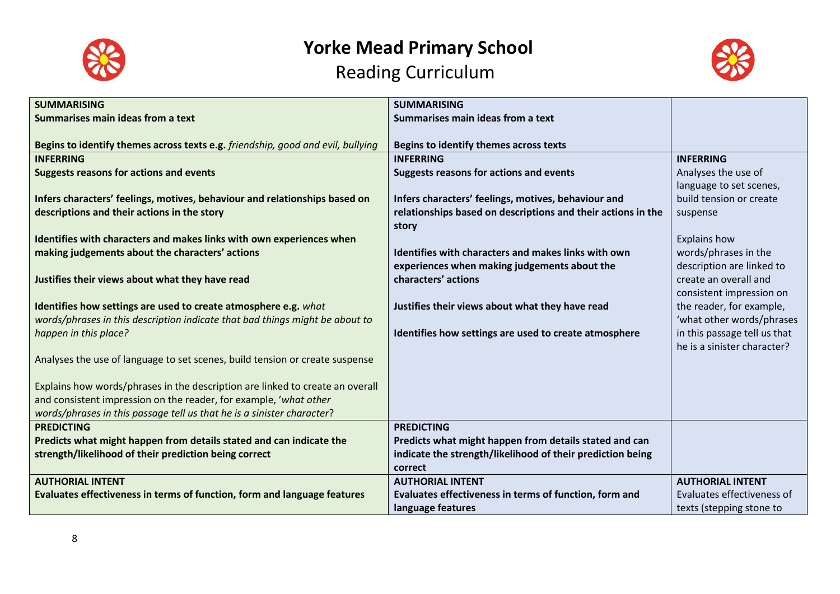



| <b>SUMMARISING</b>                                                              | <b>SUMMARISING</b>                                           |                              |
|---------------------------------------------------------------------------------|--------------------------------------------------------------|------------------------------|
| Summarises main ideas from a text                                               | Summarises main ideas from a text                            |                              |
|                                                                                 |                                                              |                              |
| Begins to identify themes across texts e.g. friendship, good and evil, bullying | Begins to identify themes across texts                       |                              |
| <b>INFERRING</b>                                                                | <b>INFERRING</b>                                             | <b>INFERRING</b>             |
| <b>Suggests reasons for actions and events</b>                                  | Suggests reasons for actions and events                      | Analyses the use of          |
|                                                                                 |                                                              | language to set scenes,      |
| Infers characters' feelings, motives, behaviour and relationships based on      | Infers characters' feelings, motives, behaviour and          | build tension or create      |
| descriptions and their actions in the story                                     | relationships based on descriptions and their actions in the | suspense                     |
|                                                                                 | story                                                        |                              |
| Identifies with characters and makes links with own experiences when            |                                                              | <b>Explains how</b>          |
| making judgements about the characters' actions                                 | Identifies with characters and makes links with own          | words/phrases in the         |
|                                                                                 | experiences when making judgements about the                 | description are linked to    |
| Justifies their views about what they have read                                 | characters' actions                                          | create an overall and        |
|                                                                                 |                                                              | consistent impression on     |
| Identifies how settings are used to create atmosphere e.g. what                 | Justifies their views about what they have read              | the reader, for example,     |
| words/phrases in this description indicate that bad things might be about to    |                                                              | 'what other words/phrases    |
| happen in this place?                                                           | Identifies how settings are used to create atmosphere        | in this passage tell us that |
|                                                                                 |                                                              | he is a sinister character?  |
| Analyses the use of language to set scenes, build tension or create suspense    |                                                              |                              |
|                                                                                 |                                                              |                              |
| Explains how words/phrases in the description are linked to create an overall   |                                                              |                              |
| and consistent impression on the reader, for example, 'what other               |                                                              |                              |
| words/phrases in this passage tell us that he is a sinister character?          |                                                              |                              |
| <b>PREDICTING</b>                                                               | <b>PREDICTING</b>                                            |                              |
| Predicts what might happen from details stated and can indicate the             | Predicts what might happen from details stated and can       |                              |
| strength/likelihood of their prediction being correct                           | indicate the strength/likelihood of their prediction being   |                              |
|                                                                                 | correct                                                      |                              |
| <b>AUTHORIAL INTENT</b>                                                         | <b>AUTHORIAL INTENT</b>                                      | <b>AUTHORIAL INTENT</b>      |
| Evaluates effectiveness in terms of function, form and language features        | Evaluates effectiveness in terms of function, form and       | Evaluates effectiveness of   |
|                                                                                 | language features                                            | texts (stepping stone to     |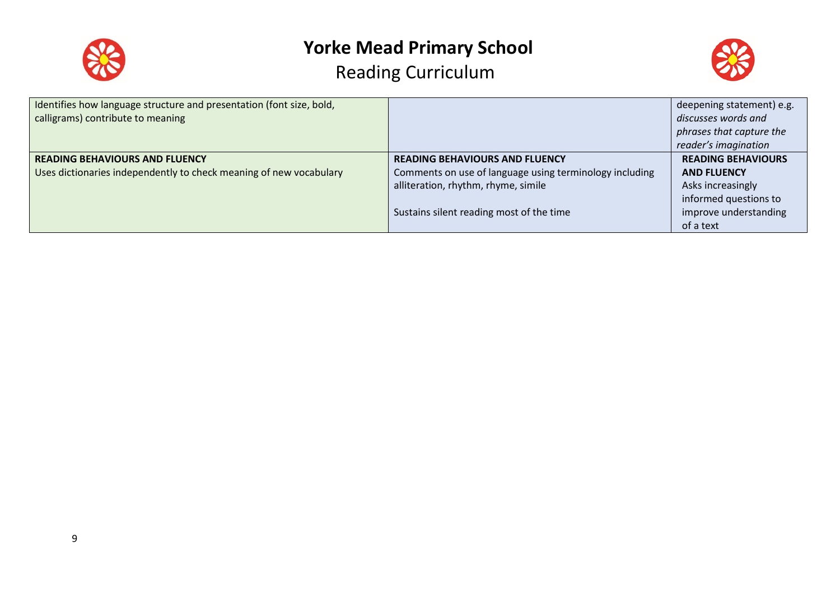



| Identifies how language structure and presentation (font size, bold, |                                                         | deepening statement) e.g. |
|----------------------------------------------------------------------|---------------------------------------------------------|---------------------------|
| calligrams) contribute to meaning                                    |                                                         | discusses words and       |
|                                                                      |                                                         | phrases that capture the  |
|                                                                      |                                                         | reader's imagination      |
| <b>READING BEHAVIOURS AND FLUENCY</b>                                | <b>READING BEHAVIOURS AND FLUENCY</b>                   | <b>READING BEHAVIOURS</b> |
| Uses dictionaries independently to check meaning of new vocabulary   | Comments on use of language using terminology including | <b>AND FLUENCY</b>        |
|                                                                      | alliteration, rhythm, rhyme, simile                     | Asks increasingly         |
|                                                                      |                                                         | informed questions to     |
|                                                                      | Sustains silent reading most of the time                | improve understanding     |
|                                                                      |                                                         | of a text                 |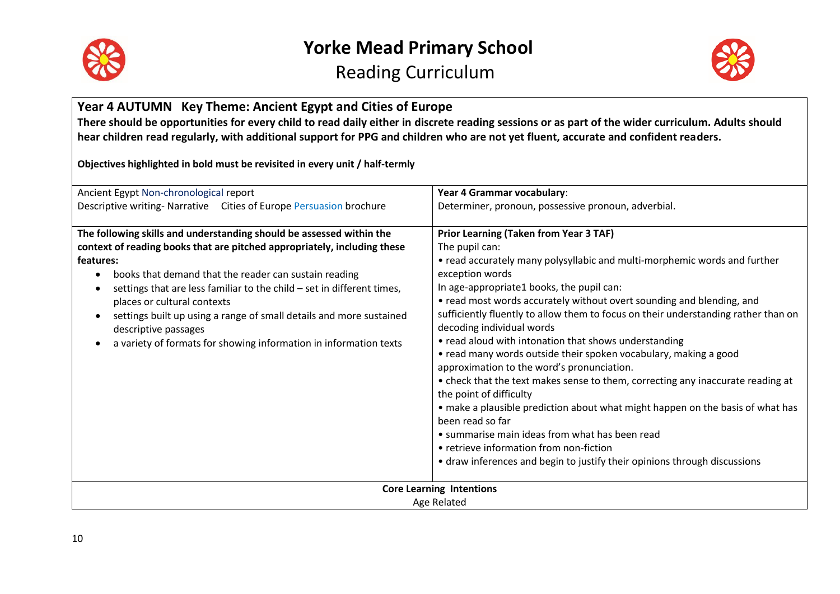



#### **Year 4 AUTUMN Key Theme: Ancient Egypt and Cities of Europe There should be opportunities for every child to read daily either in discrete reading sessions or as part of the wider curriculum. Adults should hear children read regularly, with additional support for PPG and children who are not yet fluent, accurate and confident readers. Objectives highlighted in bold must be revisited in every unit / half-termly** Ancient Egypt Non-chronological report Descriptive writing- Narrative Cities of Europe Persuasion brochure **Year 4 Grammar vocabulary**: Determiner, pronoun, possessive pronoun, adverbial. **The following skills and understanding should be assessed within the context of reading books that are pitched appropriately, including these features:** books that demand that the reader can sustain reading  $\bullet$  settings that are less familiar to the child – set in different times, places or cultural contexts settings built up using a range of small details and more sustained descriptive passages a variety of formats for showing information in information texts **Prior Learning (Taken from Year 3 TAF)** The pupil can: • read accurately many polysyllabic and multi-morphemic words and further exception words In age-appropriate1 books, the pupil can: • read most words accurately without overt sounding and blending, and sufficiently fluently to allow them to focus on their understanding rather than on decoding individual words • read aloud with intonation that shows understanding • read many words outside their spoken vocabulary, making a good approximation to the word's pronunciation. • check that the text makes sense to them, correcting any inaccurate reading at the point of difficulty • make a plausible prediction about what might happen on the basis of what has been read so far • summarise main ideas from what has been read • retrieve information from non-fiction • draw inferences and begin to justify their opinions through discussions **Core Learning Intentions** Age Related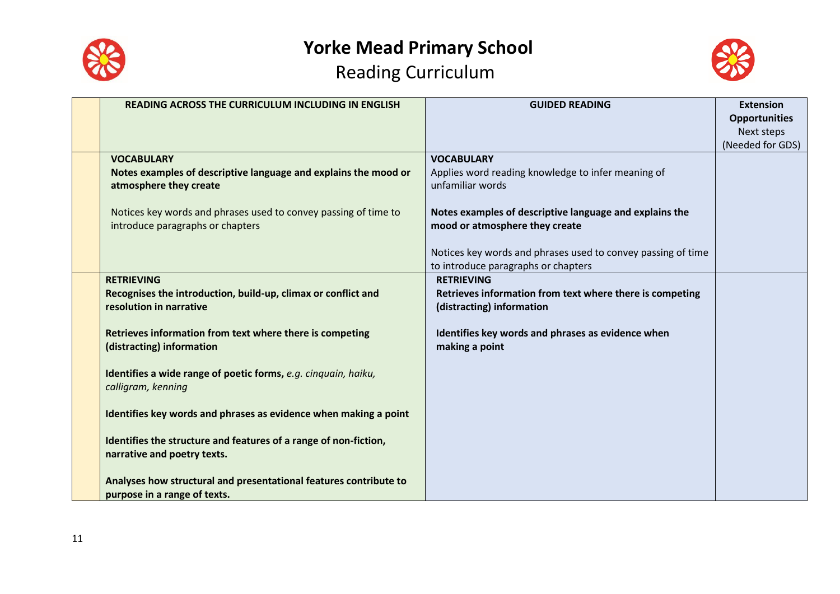



| <b>READING ACROSS THE CURRICULUM INCLUDING IN ENGLISH</b>         | <b>GUIDED READING</b>                                        | <b>Extension</b>     |
|-------------------------------------------------------------------|--------------------------------------------------------------|----------------------|
|                                                                   |                                                              | <b>Opportunities</b> |
|                                                                   |                                                              | Next steps           |
|                                                                   |                                                              | (Needed for GDS)     |
| <b>VOCABULARY</b>                                                 | <b>VOCABULARY</b>                                            |                      |
| Notes examples of descriptive language and explains the mood or   | Applies word reading knowledge to infer meaning of           |                      |
| atmosphere they create                                            | unfamiliar words                                             |                      |
|                                                                   |                                                              |                      |
| Notices key words and phrases used to convey passing of time to   | Notes examples of descriptive language and explains the      |                      |
| introduce paragraphs or chapters                                  | mood or atmosphere they create                               |                      |
|                                                                   |                                                              |                      |
|                                                                   | Notices key words and phrases used to convey passing of time |                      |
|                                                                   | to introduce paragraphs or chapters                          |                      |
| <b>RETRIEVING</b>                                                 | <b>RETRIEVING</b>                                            |                      |
| Recognises the introduction, build-up, climax or conflict and     | Retrieves information from text where there is competing     |                      |
| resolution in narrative                                           | (distracting) information                                    |                      |
|                                                                   |                                                              |                      |
| Retrieves information from text where there is competing          | Identifies key words and phrases as evidence when            |                      |
| (distracting) information                                         | making a point                                               |                      |
|                                                                   |                                                              |                      |
| Identifies a wide range of poetic forms, e.g. cinquain, haiku,    |                                                              |                      |
| calligram, kenning                                                |                                                              |                      |
|                                                                   |                                                              |                      |
| Identifies key words and phrases as evidence when making a point  |                                                              |                      |
|                                                                   |                                                              |                      |
| Identifies the structure and features of a range of non-fiction,  |                                                              |                      |
| narrative and poetry texts.                                       |                                                              |                      |
|                                                                   |                                                              |                      |
| Analyses how structural and presentational features contribute to |                                                              |                      |
| purpose in a range of texts.                                      |                                                              |                      |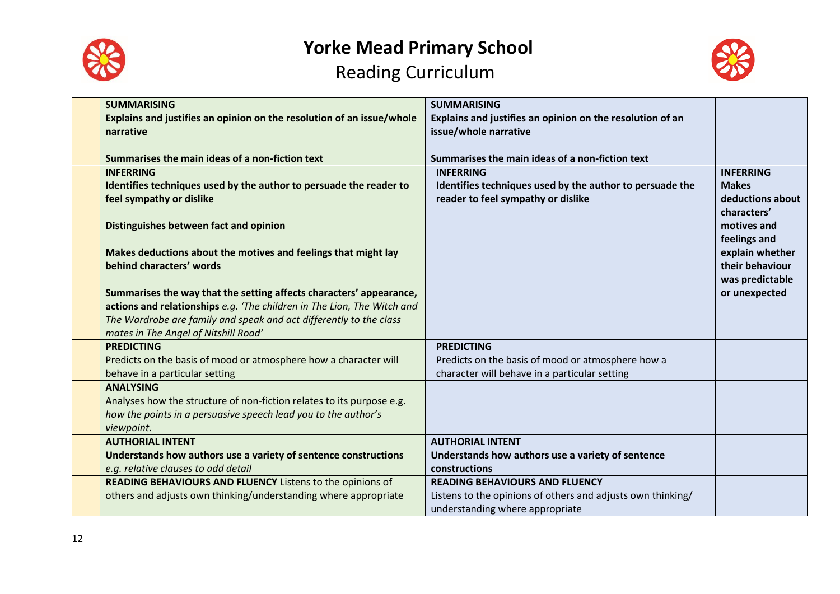



| <b>SUMMARISING</b><br>Explains and justifies an opinion on the resolution of an issue/whole<br>narrative                                                                                                                                                     | <b>SUMMARISING</b><br>Explains and justifies an opinion on the resolution of an<br>issue/whole narrative                                |                                                                                    |
|--------------------------------------------------------------------------------------------------------------------------------------------------------------------------------------------------------------------------------------------------------------|-----------------------------------------------------------------------------------------------------------------------------------------|------------------------------------------------------------------------------------|
| Summarises the main ideas of a non-fiction text                                                                                                                                                                                                              | Summarises the main ideas of a non-fiction text                                                                                         |                                                                                    |
| <b>INFERRING</b><br>Identifies techniques used by the author to persuade the reader to<br>feel sympathy or dislike                                                                                                                                           | <b>INFERRING</b><br>Identifies techniques used by the author to persuade the<br>reader to feel sympathy or dislike                      | <b>INFERRING</b><br><b>Makes</b><br>deductions about<br>characters'<br>motives and |
| Distinguishes between fact and opinion<br>Makes deductions about the motives and feelings that might lay<br>behind characters' words                                                                                                                         |                                                                                                                                         | feelings and<br>explain whether<br>their behaviour<br>was predictable              |
| Summarises the way that the setting affects characters' appearance,<br>actions and relationships e.g. 'The children in The Lion, The Witch and<br>The Wardrobe are family and speak and act differently to the class<br>mates in The Angel of Nitshill Road' |                                                                                                                                         | or unexpected                                                                      |
| <b>PREDICTING</b><br>Predicts on the basis of mood or atmosphere how a character will<br>behave in a particular setting                                                                                                                                      | <b>PREDICTING</b><br>Predicts on the basis of mood or atmosphere how a<br>character will behave in a particular setting                 |                                                                                    |
| <b>ANALYSING</b><br>Analyses how the structure of non-fiction relates to its purpose e.g.<br>how the points in a persuasive speech lead you to the author's<br>viewpoint.                                                                                    |                                                                                                                                         |                                                                                    |
| <b>AUTHORIAL INTENT</b><br>Understands how authors use a variety of sentence constructions<br>e.g. relative clauses to add detail                                                                                                                            | <b>AUTHORIAL INTENT</b><br>Understands how authors use a variety of sentence<br>constructions                                           |                                                                                    |
| READING BEHAVIOURS AND FLUENCY Listens to the opinions of<br>others and adjusts own thinking/understanding where appropriate                                                                                                                                 | <b>READING BEHAVIOURS AND FLUENCY</b><br>Listens to the opinions of others and adjusts own thinking/<br>understanding where appropriate |                                                                                    |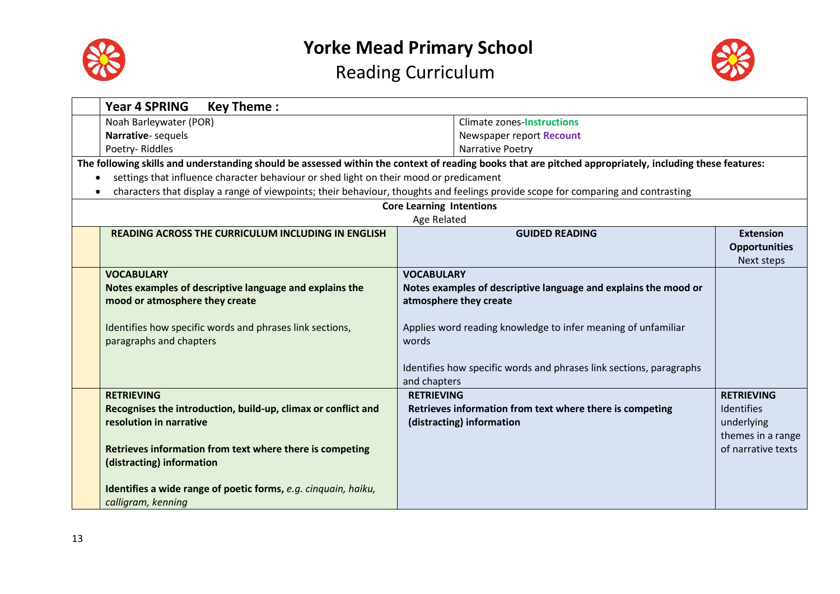



|                                                          | <b>Year 4 SPRING</b><br><b>Key Theme:</b>                                                                                                               |                                 |                                                                     |                      |
|----------------------------------------------------------|---------------------------------------------------------------------------------------------------------------------------------------------------------|---------------------------------|---------------------------------------------------------------------|----------------------|
|                                                          | Noah Barleywater (POR)                                                                                                                                  |                                 | <b>Climate zones-Instructions</b>                                   |                      |
|                                                          | Narrative-sequels                                                                                                                                       |                                 | Newspaper report Recount                                            |                      |
|                                                          | Poetry-Riddles                                                                                                                                          |                                 | Narrative Poetry                                                    |                      |
|                                                          | The following skills and understanding should be assessed within the context of reading books that are pitched appropriately, including these features: |                                 |                                                                     |                      |
| $\bullet$                                                | settings that influence character behaviour or shed light on their mood or predicament                                                                  |                                 |                                                                     |                      |
|                                                          | characters that display a range of viewpoints; their behaviour, thoughts and feelings provide scope for comparing and contrasting                       |                                 |                                                                     |                      |
|                                                          |                                                                                                                                                         | <b>Core Learning Intentions</b> |                                                                     |                      |
|                                                          |                                                                                                                                                         | Age Related                     |                                                                     |                      |
|                                                          | <b>READING ACROSS THE CURRICULUM INCLUDING IN ENGLISH</b>                                                                                               |                                 | <b>GUIDED READING</b>                                               | <b>Extension</b>     |
|                                                          |                                                                                                                                                         |                                 |                                                                     | <b>Opportunities</b> |
|                                                          |                                                                                                                                                         |                                 |                                                                     | Next steps           |
|                                                          | <b>VOCABULARY</b>                                                                                                                                       | <b>VOCABULARY</b>               |                                                                     |                      |
|                                                          | Notes examples of descriptive language and explains the                                                                                                 |                                 | Notes examples of descriptive language and explains the mood or     |                      |
|                                                          | mood or atmosphere they create                                                                                                                          |                                 | atmosphere they create                                              |                      |
|                                                          |                                                                                                                                                         |                                 |                                                                     |                      |
| Identifies how specific words and phrases link sections, |                                                                                                                                                         |                                 | Applies word reading knowledge to infer meaning of unfamiliar       |                      |
|                                                          | paragraphs and chapters                                                                                                                                 | words                           |                                                                     |                      |
|                                                          |                                                                                                                                                         |                                 |                                                                     |                      |
|                                                          |                                                                                                                                                         | and chapters                    | Identifies how specific words and phrases link sections, paragraphs |                      |
|                                                          | <b>RETRIEVING</b>                                                                                                                                       | <b>RETRIEVING</b>               |                                                                     | <b>RETRIEVING</b>    |
|                                                          | Recognises the introduction, build-up, climax or conflict and                                                                                           |                                 | Retrieves information from text where there is competing            | Identifies           |
|                                                          | resolution in narrative                                                                                                                                 |                                 | (distracting) information                                           | underlying           |
|                                                          |                                                                                                                                                         |                                 |                                                                     | themes in a range    |
|                                                          | Retrieves information from text where there is competing                                                                                                |                                 |                                                                     | of narrative texts   |
|                                                          | (distracting) information                                                                                                                               |                                 |                                                                     |                      |
|                                                          |                                                                                                                                                         |                                 |                                                                     |                      |
|                                                          | Identifies a wide range of poetic forms, e.g. cinquain, haiku,                                                                                          |                                 |                                                                     |                      |
|                                                          | calligram, kenning                                                                                                                                      |                                 |                                                                     |                      |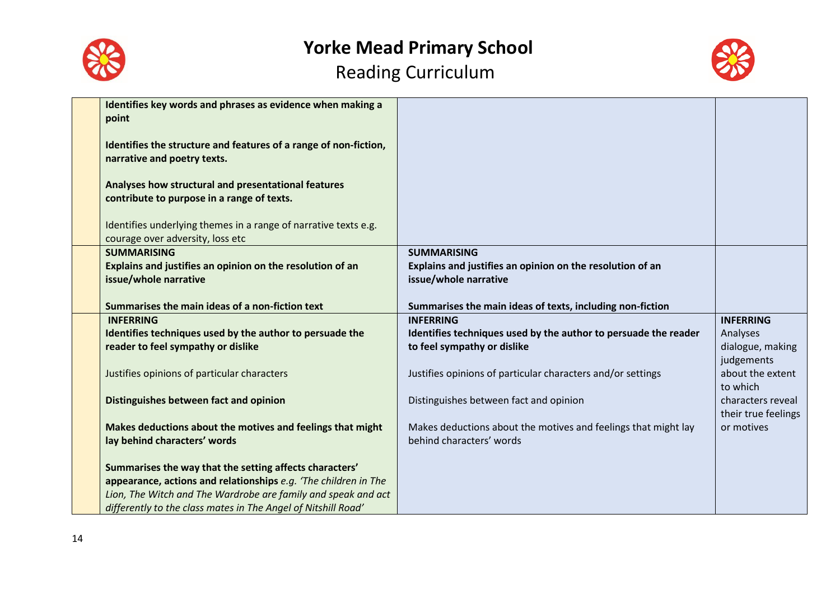



| Identifies key words and phrases as evidence when making a<br>point                                                                                                                                                                                          |                                                                                            |                                          |
|--------------------------------------------------------------------------------------------------------------------------------------------------------------------------------------------------------------------------------------------------------------|--------------------------------------------------------------------------------------------|------------------------------------------|
| Identifies the structure and features of a range of non-fiction,<br>narrative and poetry texts.                                                                                                                                                              |                                                                                            |                                          |
| Analyses how structural and presentational features<br>contribute to purpose in a range of texts.                                                                                                                                                            |                                                                                            |                                          |
| Identifies underlying themes in a range of narrative texts e.g.<br>courage over adversity, loss etc                                                                                                                                                          |                                                                                            |                                          |
| <b>SUMMARISING</b>                                                                                                                                                                                                                                           | <b>SUMMARISING</b>                                                                         |                                          |
| Explains and justifies an opinion on the resolution of an                                                                                                                                                                                                    | Explains and justifies an opinion on the resolution of an                                  |                                          |
| issue/whole narrative                                                                                                                                                                                                                                        | issue/whole narrative                                                                      |                                          |
|                                                                                                                                                                                                                                                              |                                                                                            |                                          |
| Summarises the main ideas of a non-fiction text                                                                                                                                                                                                              | Summarises the main ideas of texts, including non-fiction                                  |                                          |
| <b>INFERRING</b>                                                                                                                                                                                                                                             | <b>INFERRING</b>                                                                           | <b>INFERRING</b>                         |
| Identifies techniques used by the author to persuade the                                                                                                                                                                                                     | Identifies techniques used by the author to persuade the reader                            | Analyses                                 |
| reader to feel sympathy or dislike                                                                                                                                                                                                                           | to feel sympathy or dislike                                                                | dialogue, making                         |
|                                                                                                                                                                                                                                                              |                                                                                            | judgements                               |
| Justifies opinions of particular characters                                                                                                                                                                                                                  | Justifies opinions of particular characters and/or settings                                | about the extent<br>to which             |
| Distinguishes between fact and opinion                                                                                                                                                                                                                       | Distinguishes between fact and opinion                                                     | characters reveal<br>their true feelings |
| Makes deductions about the motives and feelings that might<br>lay behind characters' words                                                                                                                                                                   | Makes deductions about the motives and feelings that might lay<br>behind characters' words | or motives                               |
| Summarises the way that the setting affects characters'<br>appearance, actions and relationships e.g. 'The children in The<br>Lion, The Witch and The Wardrobe are family and speak and act<br>differently to the class mates in The Angel of Nitshill Road' |                                                                                            |                                          |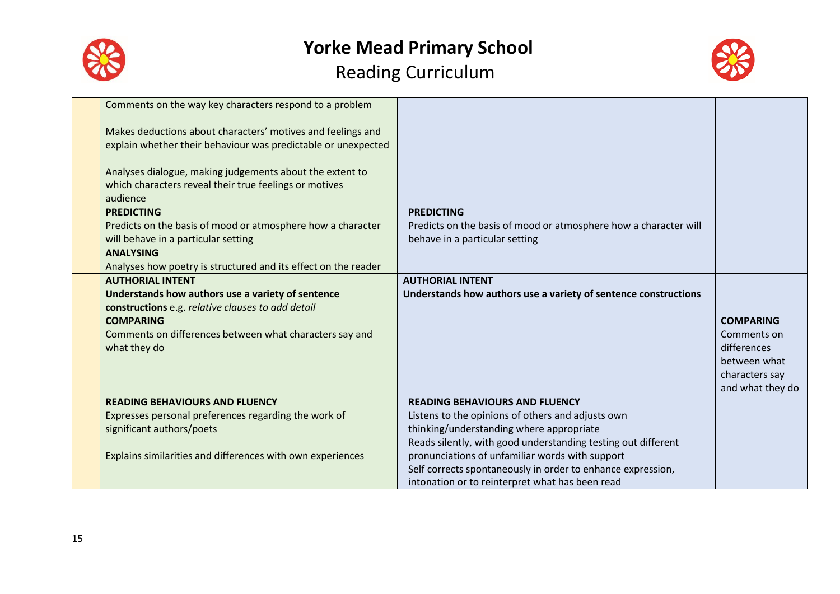



| Comments on the way key characters respond to a problem        |                                                                  |                  |
|----------------------------------------------------------------|------------------------------------------------------------------|------------------|
| Makes deductions about characters' motives and feelings and    |                                                                  |                  |
| explain whether their behaviour was predictable or unexpected  |                                                                  |                  |
|                                                                |                                                                  |                  |
| Analyses dialogue, making judgements about the extent to       |                                                                  |                  |
| which characters reveal their true feelings or motives         |                                                                  |                  |
| audience                                                       |                                                                  |                  |
| <b>PREDICTING</b>                                              | <b>PREDICTING</b>                                                |                  |
| Predicts on the basis of mood or atmosphere how a character    | Predicts on the basis of mood or atmosphere how a character will |                  |
| will behave in a particular setting                            | behave in a particular setting                                   |                  |
| <b>ANALYSING</b>                                               |                                                                  |                  |
| Analyses how poetry is structured and its effect on the reader |                                                                  |                  |
| <b>AUTHORIAL INTENT</b>                                        | <b>AUTHORIAL INTENT</b>                                          |                  |
| Understands how authors use a variety of sentence              | Understands how authors use a variety of sentence constructions  |                  |
| constructions e.g. relative clauses to add detail              |                                                                  |                  |
| <b>COMPARING</b>                                               |                                                                  | <b>COMPARING</b> |
| Comments on differences between what characters say and        |                                                                  | Comments on      |
| what they do                                                   |                                                                  | differences      |
|                                                                |                                                                  | between what     |
|                                                                |                                                                  | characters say   |
|                                                                |                                                                  | and what they do |
| <b>READING BEHAVIOURS AND FLUENCY</b>                          | <b>READING BEHAVIOURS AND FLUENCY</b>                            |                  |
| Expresses personal preferences regarding the work of           | Listens to the opinions of others and adjusts own                |                  |
| significant authors/poets                                      | thinking/understanding where appropriate                         |                  |
|                                                                | Reads silently, with good understanding testing out different    |                  |
| Explains similarities and differences with own experiences     | pronunciations of unfamiliar words with support                  |                  |
|                                                                | Self corrects spontaneously in order to enhance expression,      |                  |
|                                                                | intonation or to reinterpret what has been read                  |                  |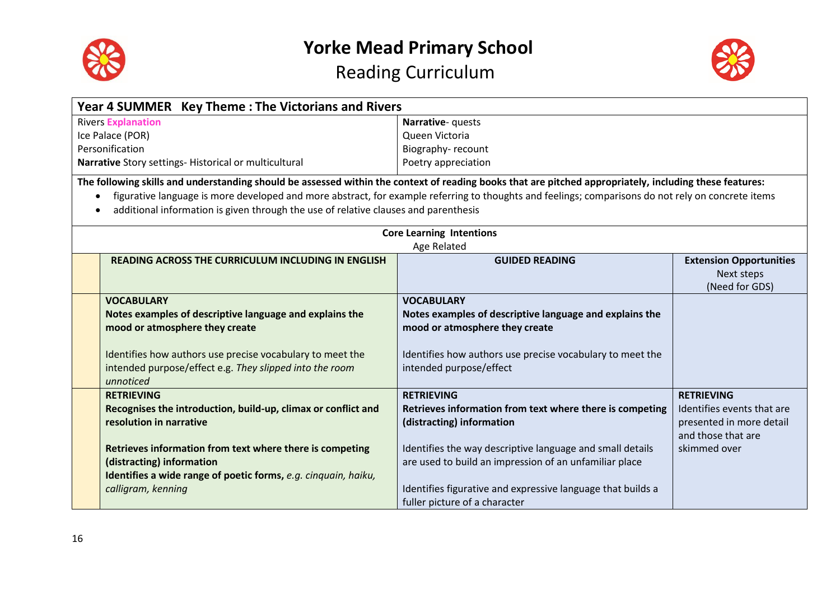



|           | Year 4 SUMMER Key Theme: The Victorians and Rivers                                                                                                      |                                                             |                                |
|-----------|---------------------------------------------------------------------------------------------------------------------------------------------------------|-------------------------------------------------------------|--------------------------------|
|           | <b>Rivers Explanation</b>                                                                                                                               | Narrative- quests                                           |                                |
|           | Ice Palace (POR)                                                                                                                                        | Queen Victoria                                              |                                |
|           | Personification                                                                                                                                         | Biography-recount                                           |                                |
|           | Narrative Story settings- Historical or multicultural                                                                                                   | Poetry appreciation                                         |                                |
|           | The following skills and understanding should be assessed within the context of reading books that are pitched appropriately, including these features: |                                                             |                                |
| $\bullet$ | figurative language is more developed and more abstract, for example referring to thoughts and feelings; comparisons do not rely on concrete items      |                                                             |                                |
| $\bullet$ | additional information is given through the use of relative clauses and parenthesis                                                                     |                                                             |                                |
|           |                                                                                                                                                         |                                                             |                                |
|           |                                                                                                                                                         | <b>Core Learning Intentions</b>                             |                                |
|           |                                                                                                                                                         | Age Related                                                 |                                |
|           | <b>READING ACROSS THE CURRICULUM INCLUDING IN ENGLISH</b>                                                                                               | <b>GUIDED READING</b>                                       | <b>Extension Opportunities</b> |
|           |                                                                                                                                                         |                                                             | Next steps                     |
|           |                                                                                                                                                         |                                                             | (Need for GDS)                 |
|           | <b>VOCABULARY</b>                                                                                                                                       | <b>VOCABULARY</b>                                           |                                |
|           | Notes examples of descriptive language and explains the                                                                                                 | Notes examples of descriptive language and explains the     |                                |
|           | mood or atmosphere they create                                                                                                                          | mood or atmosphere they create                              |                                |
|           |                                                                                                                                                         |                                                             |                                |
|           | Identifies how authors use precise vocabulary to meet the                                                                                               | Identifies how authors use precise vocabulary to meet the   |                                |
|           | intended purpose/effect e.g. They slipped into the room                                                                                                 | intended purpose/effect                                     |                                |
|           | unnoticed                                                                                                                                               |                                                             |                                |
|           | <b>RETRIEVING</b>                                                                                                                                       | <b>RETRIEVING</b>                                           | <b>RETRIEVING</b>              |
|           | Recognises the introduction, build-up, climax or conflict and                                                                                           | Retrieves information from text where there is competing    | Identifies events that are     |
|           | resolution in narrative                                                                                                                                 | (distracting) information                                   | presented in more detail       |
|           |                                                                                                                                                         |                                                             | and those that are             |
|           | Retrieves information from text where there is competing                                                                                                | Identifies the way descriptive language and small details   | skimmed over                   |
|           | (distracting) information                                                                                                                               | are used to build an impression of an unfamiliar place      |                                |
|           | Identifies a wide range of poetic forms, e.g. cinquain, haiku,                                                                                          |                                                             |                                |
|           | calligram, kenning                                                                                                                                      | Identifies figurative and expressive language that builds a |                                |
|           |                                                                                                                                                         | fuller picture of a character                               |                                |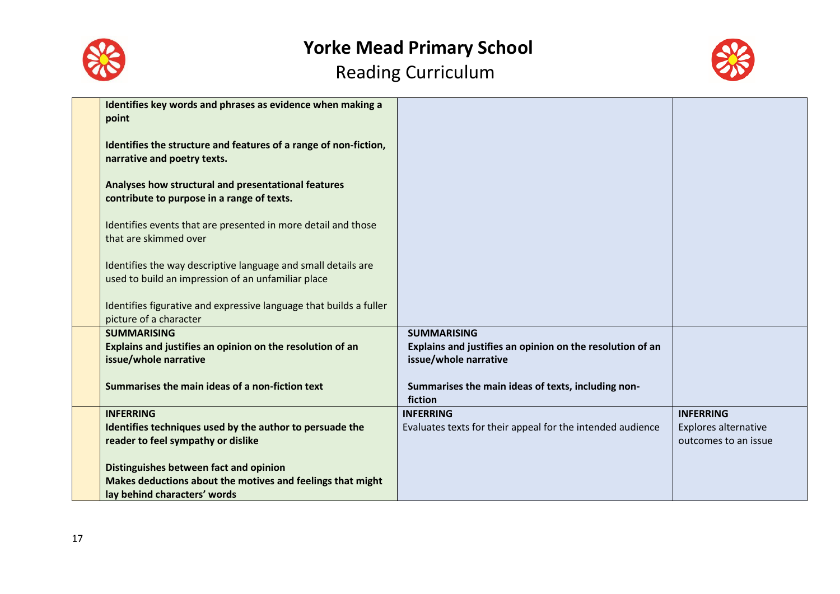



| Identifies key words and phrases as evidence when making a<br>point                                                                  |                                                                                    |                                                     |
|--------------------------------------------------------------------------------------------------------------------------------------|------------------------------------------------------------------------------------|-----------------------------------------------------|
| Identifies the structure and features of a range of non-fiction,<br>narrative and poetry texts.                                      |                                                                                    |                                                     |
| Analyses how structural and presentational features<br>contribute to purpose in a range of texts.                                    |                                                                                    |                                                     |
| Identifies events that are presented in more detail and those<br>that are skimmed over                                               |                                                                                    |                                                     |
| Identifies the way descriptive language and small details are<br>used to build an impression of an unfamiliar place                  |                                                                                    |                                                     |
| Identifies figurative and expressive language that builds a fuller<br>picture of a character                                         |                                                                                    |                                                     |
| <b>SUMMARISING</b>                                                                                                                   | <b>SUMMARISING</b>                                                                 |                                                     |
| Explains and justifies an opinion on the resolution of an<br>issue/whole narrative                                                   | Explains and justifies an opinion on the resolution of an<br>issue/whole narrative |                                                     |
| Summarises the main ideas of a non-fiction text                                                                                      | Summarises the main ideas of texts, including non-<br>fiction                      |                                                     |
| <b>INFERRING</b>                                                                                                                     | <b>INFERRING</b>                                                                   | <b>INFERRING</b>                                    |
| Identifies techniques used by the author to persuade the<br>reader to feel sympathy or dislike                                       | Evaluates texts for their appeal for the intended audience                         | <b>Explores alternative</b><br>outcomes to an issue |
| Distinguishes between fact and opinion<br>Makes deductions about the motives and feelings that might<br>lay behind characters' words |                                                                                    |                                                     |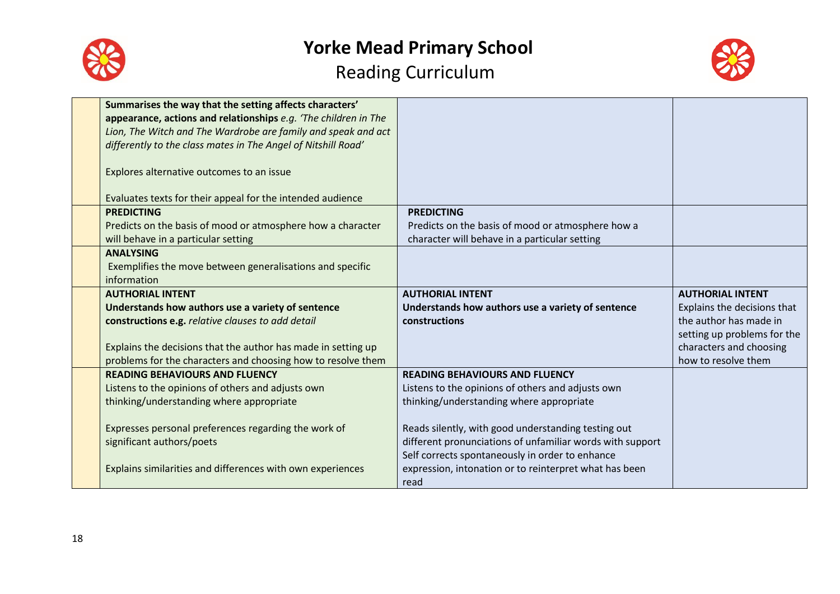



| Summarises the way that the setting affects characters'         |                                                           |                             |
|-----------------------------------------------------------------|-----------------------------------------------------------|-----------------------------|
| appearance, actions and relationships e.g. 'The children in The |                                                           |                             |
| Lion, The Witch and The Wardrobe are family and speak and act   |                                                           |                             |
| differently to the class mates in The Angel of Nitshill Road'   |                                                           |                             |
|                                                                 |                                                           |                             |
| Explores alternative outcomes to an issue                       |                                                           |                             |
|                                                                 |                                                           |                             |
| Evaluates texts for their appeal for the intended audience      |                                                           |                             |
| <b>PREDICTING</b>                                               | <b>PREDICTING</b>                                         |                             |
| Predicts on the basis of mood or atmosphere how a character     | Predicts on the basis of mood or atmosphere how a         |                             |
| will behave in a particular setting                             | character will behave in a particular setting             |                             |
| <b>ANALYSING</b>                                                |                                                           |                             |
| Exemplifies the move between generalisations and specific       |                                                           |                             |
| information                                                     |                                                           |                             |
| <b>AUTHORIAL INTENT</b>                                         | <b>AUTHORIAL INTENT</b>                                   | <b>AUTHORIAL INTENT</b>     |
| Understands how authors use a variety of sentence               | Understands how authors use a variety of sentence         | Explains the decisions that |
| constructions e.g. relative clauses to add detail               | constructions                                             | the author has made in      |
|                                                                 |                                                           | setting up problems for the |
| Explains the decisions that the author has made in setting up   |                                                           | characters and choosing     |
| problems for the characters and choosing how to resolve them    |                                                           | how to resolve them         |
| <b>READING BEHAVIOURS AND FLUENCY</b>                           | <b>READING BEHAVIOURS AND FLUENCY</b>                     |                             |
| Listens to the opinions of others and adjusts own               | Listens to the opinions of others and adjusts own         |                             |
| thinking/understanding where appropriate                        | thinking/understanding where appropriate                  |                             |
|                                                                 |                                                           |                             |
| Expresses personal preferences regarding the work of            | Reads silently, with good understanding testing out       |                             |
| significant authors/poets                                       | different pronunciations of unfamiliar words with support |                             |
|                                                                 | Self corrects spontaneously in order to enhance           |                             |
| Explains similarities and differences with own experiences      | expression, intonation or to reinterpret what has been    |                             |
|                                                                 |                                                           |                             |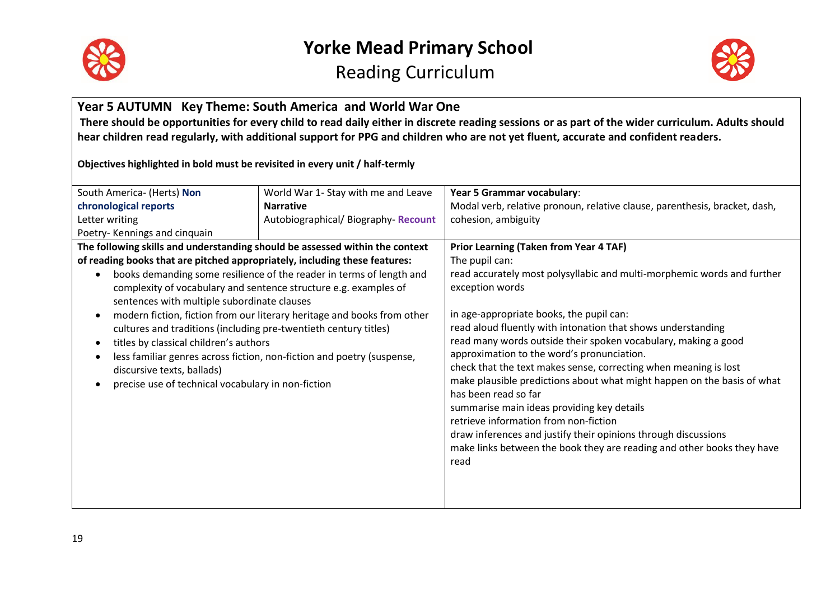



### **Year 5 AUTUMN Key Theme: South America and World War One**

**There should be opportunities for every child to read daily either in discrete reading sessions or as part of the wider curriculum. Adults should hear children read regularly, with additional support for PPG and children who are not yet fluent, accurate and confident readers.**

**Objectives highlighted in bold must be revisited in every unit / half-termly**

| South America- (Herts) Non                                                   | World War 1- Stay with me and Leave                                     | Year 5 Grammar vocabulary:                                                 |
|------------------------------------------------------------------------------|-------------------------------------------------------------------------|----------------------------------------------------------------------------|
| chronological reports                                                        | <b>Narrative</b>                                                        | Modal verb, relative pronoun, relative clause, parenthesis, bracket, dash, |
| Letter writing<br>Autobiographical/ Biography- Recount                       |                                                                         | cohesion, ambiguity                                                        |
| Poetry-Kennings and cinquain                                                 |                                                                         |                                                                            |
| The following skills and understanding should be assessed within the context |                                                                         | <b>Prior Learning (Taken from Year 4 TAF)</b>                              |
| of reading books that are pitched appropriately, including these features:   |                                                                         | The pupil can:                                                             |
|                                                                              | books demanding some resilience of the reader in terms of length and    | read accurately most polysyllabic and multi-morphemic words and further    |
|                                                                              | complexity of vocabulary and sentence structure e.g. examples of        | exception words                                                            |
| sentences with multiple subordinate clauses                                  |                                                                         |                                                                            |
|                                                                              | modern fiction, fiction from our literary heritage and books from other | in age-appropriate books, the pupil can:                                   |
| cultures and traditions (including pre-twentieth century titles)             |                                                                         | read aloud fluently with intonation that shows understanding               |
| titles by classical children's authors                                       |                                                                         | read many words outside their spoken vocabulary, making a good             |
| less familiar genres across fiction, non-fiction and poetry (suspense,       |                                                                         | approximation to the word's pronunciation.                                 |
| discursive texts, ballads)                                                   |                                                                         | check that the text makes sense, correcting when meaning is lost           |
| precise use of technical vocabulary in non-fiction                           |                                                                         | make plausible predictions about what might happen on the basis of what    |
|                                                                              |                                                                         | has been read so far                                                       |
|                                                                              |                                                                         | summarise main ideas providing key details                                 |
|                                                                              |                                                                         | retrieve information from non-fiction                                      |
|                                                                              |                                                                         | draw inferences and justify their opinions through discussions             |
|                                                                              |                                                                         | make links between the book they are reading and other books they have     |
|                                                                              |                                                                         | read                                                                       |
|                                                                              |                                                                         |                                                                            |
|                                                                              |                                                                         |                                                                            |
|                                                                              |                                                                         |                                                                            |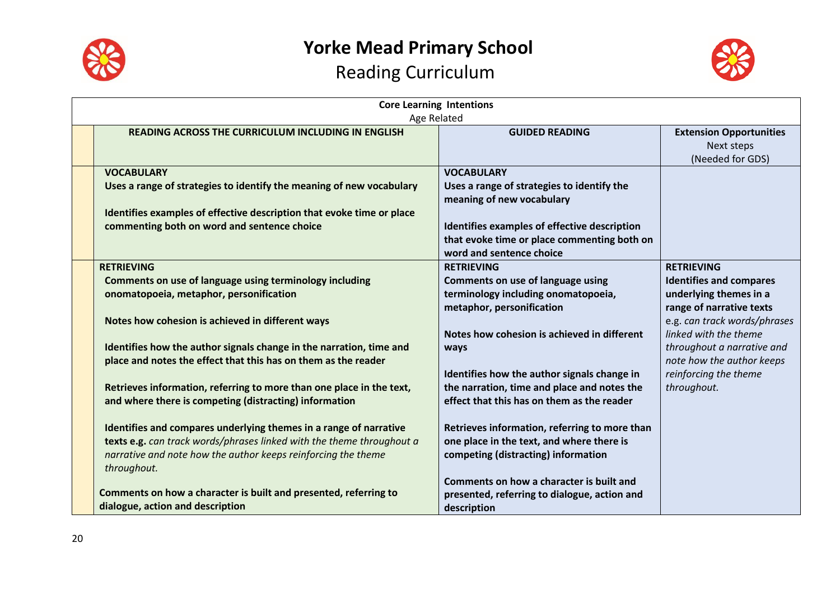



| <b>Core Learning Intentions</b><br>Age Related                                                                                                                                                                             |                                                                                                                                                                                                                         |                                                                                                                  |  |
|----------------------------------------------------------------------------------------------------------------------------------------------------------------------------------------------------------------------------|-------------------------------------------------------------------------------------------------------------------------------------------------------------------------------------------------------------------------|------------------------------------------------------------------------------------------------------------------|--|
| <b>READING ACROSS THE CURRICULUM INCLUDING IN ENGLISH</b>                                                                                                                                                                  | <b>GUIDED READING</b>                                                                                                                                                                                                   | <b>Extension Opportunities</b><br>Next steps<br>(Needed for GDS)                                                 |  |
| <b>VOCABULARY</b><br>Uses a range of strategies to identify the meaning of new vocabulary<br>Identifies examples of effective description that evoke time or place<br>commenting both on word and sentence choice          | <b>VOCABULARY</b><br>Uses a range of strategies to identify the<br>meaning of new vocabulary<br>Identifies examples of effective description<br>that evoke time or place commenting both on<br>word and sentence choice |                                                                                                                  |  |
| <b>RETRIEVING</b><br>Comments on use of language using terminology including<br>onomatopoeia, metaphor, personification                                                                                                    | <b>RETRIEVING</b><br>Comments on use of language using<br>terminology including onomatopoeia,<br>metaphor, personification                                                                                              | <b>RETRIEVING</b><br><b>Identifies and compares</b><br>underlying themes in a<br>range of narrative texts        |  |
| Notes how cohesion is achieved in different ways<br>Identifies how the author signals change in the narration, time and<br>place and notes the effect that this has on them as the reader                                  | Notes how cohesion is achieved in different<br>ways                                                                                                                                                                     | e.g. can track words/phrases<br>linked with the theme<br>throughout a narrative and<br>note how the author keeps |  |
| Retrieves information, referring to more than one place in the text,<br>and where there is competing (distracting) information                                                                                             | Identifies how the author signals change in<br>the narration, time and place and notes the<br>effect that this has on them as the reader                                                                                | reinforcing the theme<br>throughout.                                                                             |  |
| Identifies and compares underlying themes in a range of narrative<br>texts e.g. can track words/phrases linked with the theme throughout a<br>narrative and note how the author keeps reinforcing the theme<br>throughout. | Retrieves information, referring to more than<br>one place in the text, and where there is<br>competing (distracting) information                                                                                       |                                                                                                                  |  |
| Comments on how a character is built and presented, referring to<br>dialogue, action and description                                                                                                                       | Comments on how a character is built and<br>presented, referring to dialogue, action and<br>description                                                                                                                 |                                                                                                                  |  |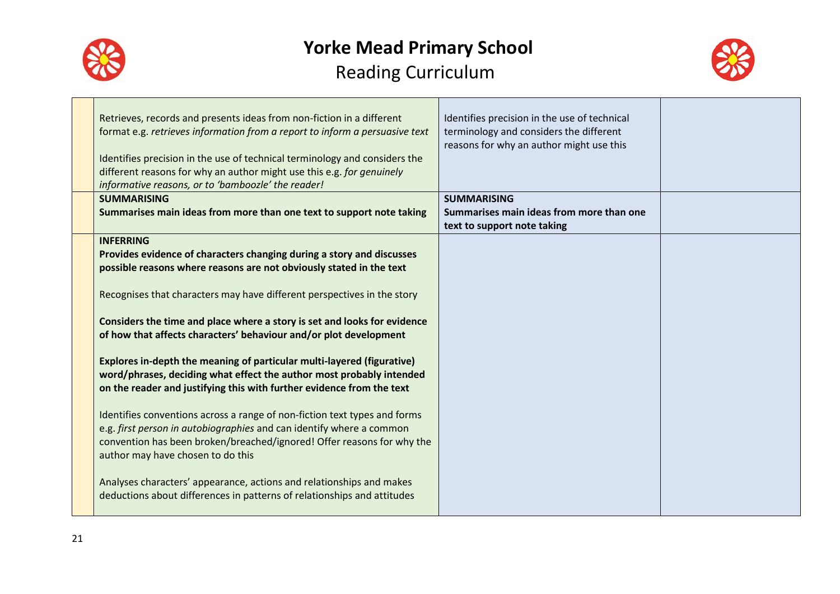



| Retrieves, records and presents ideas from non-fiction in a different<br>format e.g. retrieves information from a report to inform a persuasive text<br>Identifies precision in the use of technical terminology and considers the<br>different reasons for why an author might use this e.g. for genuinely<br>informative reasons, or to 'bamboozle' the reader! | Identifies precision in the use of technical<br>terminology and considers the different<br>reasons for why an author might use this |  |
|-------------------------------------------------------------------------------------------------------------------------------------------------------------------------------------------------------------------------------------------------------------------------------------------------------------------------------------------------------------------|-------------------------------------------------------------------------------------------------------------------------------------|--|
| <b>SUMMARISING</b>                                                                                                                                                                                                                                                                                                                                                | <b>SUMMARISING</b>                                                                                                                  |  |
| Summarises main ideas from more than one text to support note taking                                                                                                                                                                                                                                                                                              | Summarises main ideas from more than one<br>text to support note taking                                                             |  |
| <b>INFERRING</b>                                                                                                                                                                                                                                                                                                                                                  |                                                                                                                                     |  |
| Provides evidence of characters changing during a story and discusses                                                                                                                                                                                                                                                                                             |                                                                                                                                     |  |
| possible reasons where reasons are not obviously stated in the text                                                                                                                                                                                                                                                                                               |                                                                                                                                     |  |
| Recognises that characters may have different perspectives in the story                                                                                                                                                                                                                                                                                           |                                                                                                                                     |  |
| Considers the time and place where a story is set and looks for evidence                                                                                                                                                                                                                                                                                          |                                                                                                                                     |  |
| of how that affects characters' behaviour and/or plot development                                                                                                                                                                                                                                                                                                 |                                                                                                                                     |  |
| Explores in-depth the meaning of particular multi-layered (figurative)<br>word/phrases, deciding what effect the author most probably intended<br>on the reader and justifying this with further evidence from the text                                                                                                                                           |                                                                                                                                     |  |
| Identifies conventions across a range of non-fiction text types and forms<br>e.g. first person in autobiographies and can identify where a common<br>convention has been broken/breached/ignored! Offer reasons for why the                                                                                                                                       |                                                                                                                                     |  |
| author may have chosen to do this<br>Analyses characters' appearance, actions and relationships and makes<br>deductions about differences in patterns of relationships and attitudes                                                                                                                                                                              |                                                                                                                                     |  |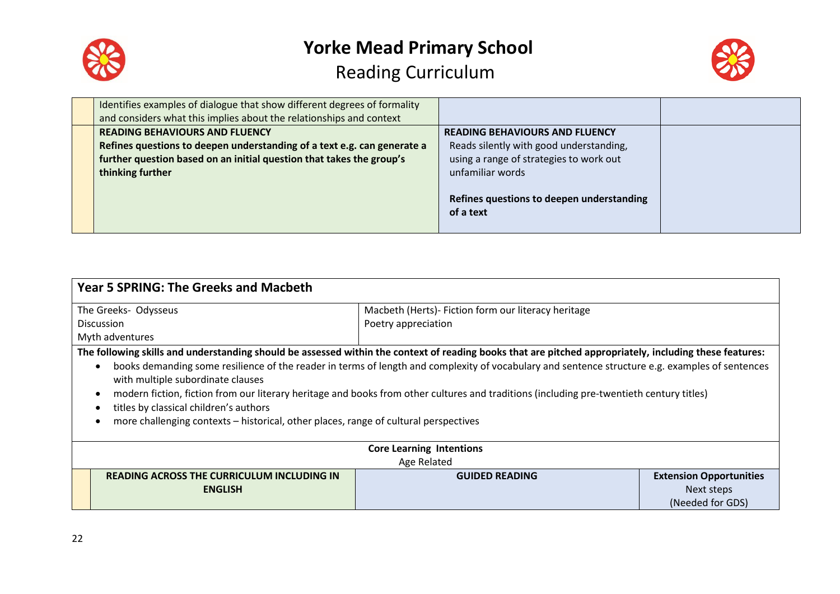



| Identifies examples of dialogue that show different degrees of formality<br>and considers what this implies about the relationships and context                                                              |                                                                                                                                                                                                           |  |
|--------------------------------------------------------------------------------------------------------------------------------------------------------------------------------------------------------------|-----------------------------------------------------------------------------------------------------------------------------------------------------------------------------------------------------------|--|
| <b>READING BEHAVIOURS AND FLUENCY</b><br>Refines questions to deepen understanding of a text e.g. can generate a<br>further question based on an initial question that takes the group's<br>thinking further | <b>READING BEHAVIOURS AND FLUENCY</b><br>Reads silently with good understanding,<br>using a range of strategies to work out<br>unfamiliar words<br>Refines questions to deepen understanding<br>of a text |  |

| <b>Year 5 SPRING: The Greeks and Macbeth</b>                                                                                                                                                                                                                                                                                                                                                                                                                                                                                                                    |                                                     |                                |
|-----------------------------------------------------------------------------------------------------------------------------------------------------------------------------------------------------------------------------------------------------------------------------------------------------------------------------------------------------------------------------------------------------------------------------------------------------------------------------------------------------------------------------------------------------------------|-----------------------------------------------------|--------------------------------|
| The Greeks- Odysseus                                                                                                                                                                                                                                                                                                                                                                                                                                                                                                                                            | Macbeth (Herts)- Fiction form our literacy heritage |                                |
| <b>Discussion</b>                                                                                                                                                                                                                                                                                                                                                                                                                                                                                                                                               | Poetry appreciation                                 |                                |
| Myth adventures                                                                                                                                                                                                                                                                                                                                                                                                                                                                                                                                                 |                                                     |                                |
| The following skills and understanding should be assessed within the context of reading books that are pitched appropriately, including these features:<br>books demanding some resilience of the reader in terms of length and complexity of vocabulary and sentence structure e.g. examples of sentences<br>$\bullet$<br>with multiple subordinate clauses<br>modern fiction, fiction from our literary heritage and books from other cultures and traditions (including pre-twentieth century titles)<br>$\bullet$<br>titles by classical children's authors |                                                     |                                |
| more challenging contexts – historical, other places, range of cultural perspectives                                                                                                                                                                                                                                                                                                                                                                                                                                                                            |                                                     |                                |
|                                                                                                                                                                                                                                                                                                                                                                                                                                                                                                                                                                 | <b>Core Learning Intentions</b>                     |                                |
| Age Related                                                                                                                                                                                                                                                                                                                                                                                                                                                                                                                                                     |                                                     |                                |
| <b>READING ACROSS THE CURRICULUM INCLUDING IN</b>                                                                                                                                                                                                                                                                                                                                                                                                                                                                                                               | <b>GUIDED READING</b>                               | <b>Extension Opportunities</b> |
| <b>ENGLISH</b>                                                                                                                                                                                                                                                                                                                                                                                                                                                                                                                                                  |                                                     | Next steps                     |
|                                                                                                                                                                                                                                                                                                                                                                                                                                                                                                                                                                 |                                                     | (Needed for GDS)               |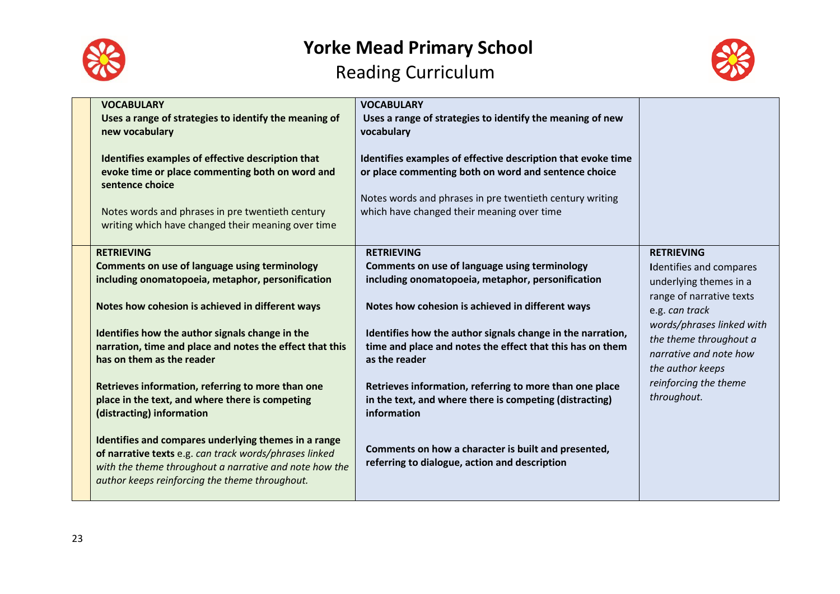



| <b>VOCABULARY</b><br>Uses a range of strategies to identify the meaning of                                                                                                                                                 | <b>VOCABULARY</b><br>Uses a range of strategies to identify the meaning of new                                                                                                   |                                                                                                   |
|----------------------------------------------------------------------------------------------------------------------------------------------------------------------------------------------------------------------------|----------------------------------------------------------------------------------------------------------------------------------------------------------------------------------|---------------------------------------------------------------------------------------------------|
| new vocabulary                                                                                                                                                                                                             | vocabulary                                                                                                                                                                       |                                                                                                   |
| Identifies examples of effective description that<br>evoke time or place commenting both on word and<br>sentence choice                                                                                                    | Identifies examples of effective description that evoke time<br>or place commenting both on word and sentence choice<br>Notes words and phrases in pre twentieth century writing |                                                                                                   |
| Notes words and phrases in pre twentieth century<br>writing which have changed their meaning over time                                                                                                                     | which have changed their meaning over time                                                                                                                                       |                                                                                                   |
| <b>RETRIEVING</b>                                                                                                                                                                                                          | <b>RETRIEVING</b>                                                                                                                                                                | <b>RETRIEVING</b>                                                                                 |
| <b>Comments on use of language using terminology</b>                                                                                                                                                                       | Comments on use of language using terminology                                                                                                                                    | <b>Identifies and compares</b>                                                                    |
| including onomatopoeia, metaphor, personification                                                                                                                                                                          | including onomatopoeia, metaphor, personification                                                                                                                                | underlying themes in a                                                                            |
|                                                                                                                                                                                                                            |                                                                                                                                                                                  | range of narrative texts                                                                          |
| Notes how cohesion is achieved in different ways                                                                                                                                                                           | Notes how cohesion is achieved in different ways                                                                                                                                 | e.g. can track                                                                                    |
| Identifies how the author signals change in the<br>narration, time and place and notes the effect that this<br>has on them as the reader                                                                                   | Identifies how the author signals change in the narration,<br>time and place and notes the effect that this has on them<br>as the reader                                         | words/phrases linked with<br>the theme throughout a<br>narrative and note how<br>the author keeps |
| Retrieves information, referring to more than one                                                                                                                                                                          | Retrieves information, referring to more than one place                                                                                                                          | reinforcing the theme                                                                             |
| place in the text, and where there is competing<br>(distracting) information                                                                                                                                               | in the text, and where there is competing (distracting)<br>information                                                                                                           | throughout.                                                                                       |
| Identifies and compares underlying themes in a range<br>of narrative texts e.g. can track words/phrases linked<br>with the theme throughout a narrative and note how the<br>author keeps reinforcing the theme throughout. | Comments on how a character is built and presented,<br>referring to dialogue, action and description                                                                             |                                                                                                   |
|                                                                                                                                                                                                                            |                                                                                                                                                                                  |                                                                                                   |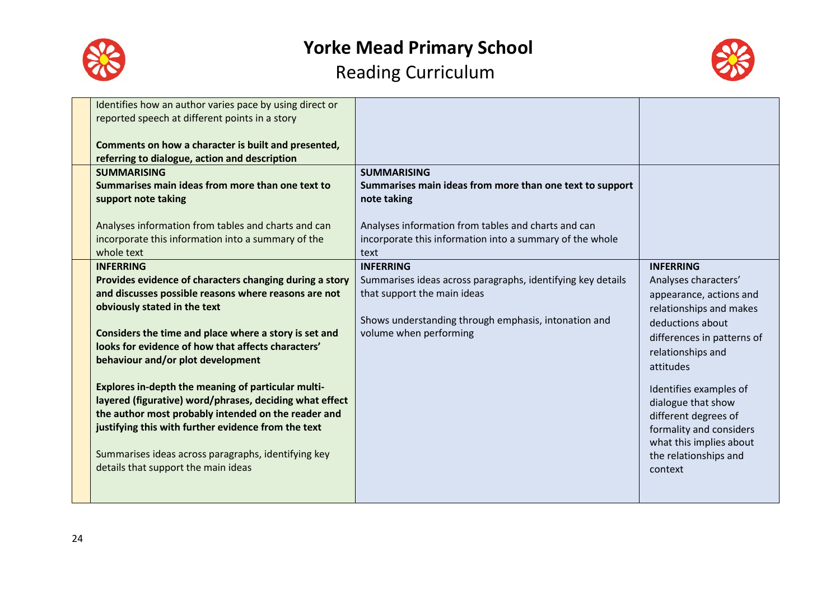



| Identifies how an author varies pace by using direct or |                                                             |                            |
|---------------------------------------------------------|-------------------------------------------------------------|----------------------------|
| reported speech at different points in a story          |                                                             |                            |
|                                                         |                                                             |                            |
| Comments on how a character is built and presented,     |                                                             |                            |
| referring to dialogue, action and description           |                                                             |                            |
| <b>SUMMARISING</b>                                      | <b>SUMMARISING</b>                                          |                            |
| Summarises main ideas from more than one text to        | Summarises main ideas from more than one text to support    |                            |
| support note taking                                     | note taking                                                 |                            |
|                                                         |                                                             |                            |
| Analyses information from tables and charts and can     | Analyses information from tables and charts and can         |                            |
| incorporate this information into a summary of the      | incorporate this information into a summary of the whole    |                            |
| whole text                                              | text                                                        |                            |
| <b>INFERRING</b>                                        | <b>INFERRING</b>                                            | <b>INFERRING</b>           |
| Provides evidence of characters changing during a story | Summarises ideas across paragraphs, identifying key details | Analyses characters'       |
| and discusses possible reasons where reasons are not    | that support the main ideas                                 | appearance, actions and    |
| obviously stated in the text                            |                                                             | relationships and makes    |
|                                                         | Shows understanding through emphasis, intonation and        | deductions about           |
| Considers the time and place where a story is set and   | volume when performing                                      | differences in patterns of |
| looks for evidence of how that affects characters'      |                                                             | relationships and          |
| behaviour and/or plot development                       |                                                             |                            |
|                                                         |                                                             | attitudes                  |
| Explores in-depth the meaning of particular multi-      |                                                             | Identifies examples of     |
| layered (figurative) word/phrases, deciding what effect |                                                             | dialogue that show         |
| the author most probably intended on the reader and     |                                                             | different degrees of       |
| justifying this with further evidence from the text     |                                                             | formality and considers    |
|                                                         |                                                             | what this implies about    |
| Summarises ideas across paragraphs, identifying key     |                                                             | the relationships and      |
| details that support the main ideas                     |                                                             | context                    |
|                                                         |                                                             |                            |
|                                                         |                                                             |                            |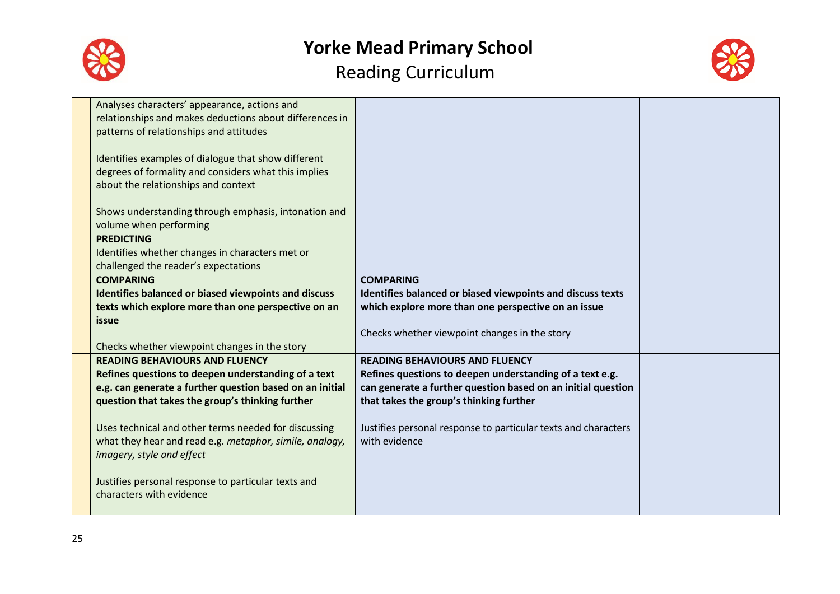



| Analyses characters' appearance, actions and             |                                                                |  |
|----------------------------------------------------------|----------------------------------------------------------------|--|
| relationships and makes deductions about differences in  |                                                                |  |
| patterns of relationships and attitudes                  |                                                                |  |
|                                                          |                                                                |  |
| Identifies examples of dialogue that show different      |                                                                |  |
| degrees of formality and considers what this implies     |                                                                |  |
| about the relationships and context                      |                                                                |  |
|                                                          |                                                                |  |
| Shows understanding through emphasis, intonation and     |                                                                |  |
| volume when performing                                   |                                                                |  |
| <b>PREDICTING</b>                                        |                                                                |  |
| Identifies whether changes in characters met or          |                                                                |  |
|                                                          |                                                                |  |
| challenged the reader's expectations<br><b>COMPARING</b> | <b>COMPARING</b>                                               |  |
|                                                          |                                                                |  |
| Identifies balanced or biased viewpoints and discuss     | Identifies balanced or biased viewpoints and discuss texts     |  |
| texts which explore more than one perspective on an      | which explore more than one perspective on an issue            |  |
| issue                                                    |                                                                |  |
|                                                          | Checks whether viewpoint changes in the story                  |  |
| Checks whether viewpoint changes in the story            |                                                                |  |
| <b>READING BEHAVIOURS AND FLUENCY</b>                    | <b>READING BEHAVIOURS AND FLUENCY</b>                          |  |
| Refines questions to deepen understanding of a text      | Refines questions to deepen understanding of a text e.g.       |  |
| e.g. can generate a further question based on an initial | can generate a further question based on an initial question   |  |
| question that takes the group's thinking further         | that takes the group's thinking further                        |  |
|                                                          |                                                                |  |
| Uses technical and other terms needed for discussing     | Justifies personal response to particular texts and characters |  |
| what they hear and read e.g. metaphor, simile, analogy,  | with evidence                                                  |  |
| imagery, style and effect                                |                                                                |  |
|                                                          |                                                                |  |
| Justifies personal response to particular texts and      |                                                                |  |
| characters with evidence                                 |                                                                |  |
|                                                          |                                                                |  |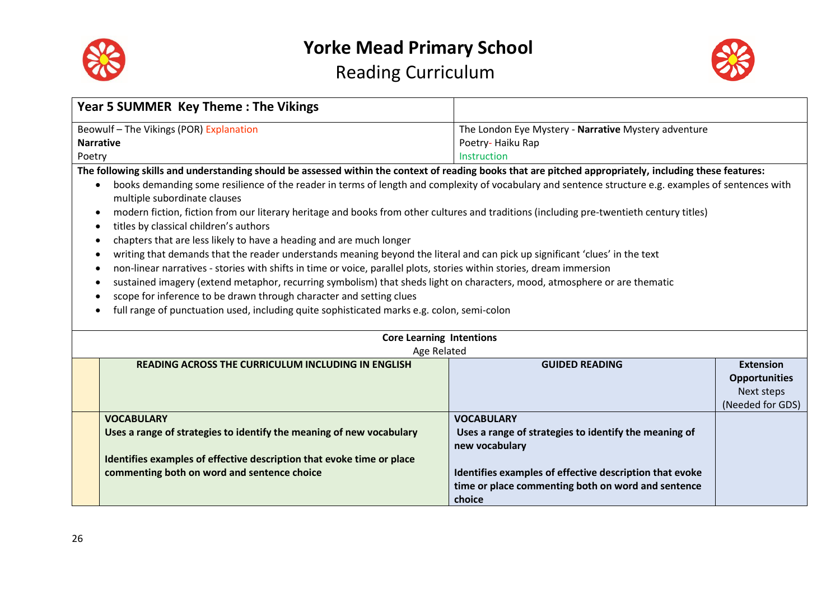



| <b>Year 5 SUMMER Key Theme: The Vikings</b>                                                                                                                       |                                                         |                      |  |
|-------------------------------------------------------------------------------------------------------------------------------------------------------------------|---------------------------------------------------------|----------------------|--|
| Beowulf-The Vikings (POR) Explanation                                                                                                                             | The London Eye Mystery - Narrative Mystery adventure    |                      |  |
| <b>Narrative</b>                                                                                                                                                  | Poetry-Haiku Rap                                        |                      |  |
| Poetry                                                                                                                                                            | Instruction                                             |                      |  |
| The following skills and understanding should be assessed within the context of reading books that are pitched appropriately, including these features:           |                                                         |                      |  |
| books demanding some resilience of the reader in terms of length and complexity of vocabulary and sentence structure e.g. examples of sentences with<br>$\bullet$ |                                                         |                      |  |
| multiple subordinate clauses                                                                                                                                      |                                                         |                      |  |
| modern fiction, fiction from our literary heritage and books from other cultures and traditions (including pre-twentieth century titles)<br>٠                     |                                                         |                      |  |
| titles by classical children's authors<br>٠                                                                                                                       |                                                         |                      |  |
| chapters that are less likely to have a heading and are much longer<br>٠                                                                                          |                                                         |                      |  |
| writing that demands that the reader understands meaning beyond the literal and can pick up significant 'clues' in the text<br>٠                                  |                                                         |                      |  |
| non-linear narratives - stories with shifts in time or voice, parallel plots, stories within stories, dream immersion<br>٠                                        |                                                         |                      |  |
| sustained imagery (extend metaphor, recurring symbolism) that sheds light on characters, mood, atmosphere or are thematic<br>٠                                    |                                                         |                      |  |
| scope for inference to be drawn through character and setting clues<br>٠                                                                                          |                                                         |                      |  |
| full range of punctuation used, including quite sophisticated marks e.g. colon, semi-colon                                                                        |                                                         |                      |  |
|                                                                                                                                                                   |                                                         |                      |  |
| <b>Core Learning Intentions</b>                                                                                                                                   |                                                         |                      |  |
| Age Related                                                                                                                                                       |                                                         |                      |  |
| <b>READING ACROSS THE CURRICULUM INCLUDING IN ENGLISH</b>                                                                                                         | <b>GUIDED READING</b>                                   | <b>Extension</b>     |  |
|                                                                                                                                                                   |                                                         | <b>Opportunities</b> |  |
|                                                                                                                                                                   |                                                         | Next steps           |  |
|                                                                                                                                                                   |                                                         | (Needed for GDS)     |  |
| <b>VOCABULARY</b>                                                                                                                                                 | <b>VOCABULARY</b>                                       |                      |  |
| Uses a range of strategies to identify the meaning of new vocabulary                                                                                              | Uses a range of strategies to identify the meaning of   |                      |  |
|                                                                                                                                                                   | new vocabulary                                          |                      |  |
| Identifies examples of effective description that evoke time or place                                                                                             |                                                         |                      |  |
| commenting both on word and sentence choice                                                                                                                       | Identifies examples of effective description that evoke |                      |  |
|                                                                                                                                                                   | time or place commenting both on word and sentence      |                      |  |
|                                                                                                                                                                   | choice                                                  |                      |  |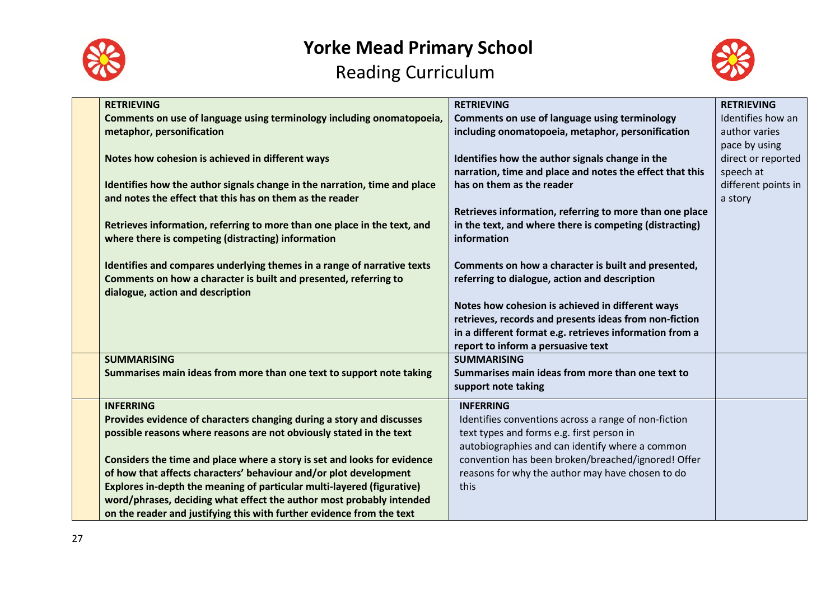



| <b>RETRIEVING</b><br>Comments on use of language using terminology including onomatopoeia,<br>metaphor, personification<br>Notes how cohesion is achieved in different ways<br>Identifies how the author signals change in the narration, time and place<br>and notes the effect that this has on them as the reader<br>Retrieves information, referring to more than one place in the text, and<br>where there is competing (distracting) information<br>Identifies and compares underlying themes in a range of narrative texts<br>Comments on how a character is built and presented, referring to<br>dialogue, action and description | <b>RETRIEVING</b><br>Comments on use of language using terminology<br>including onomatopoeia, metaphor, personification<br>Identifies how the author signals change in the<br>narration, time and place and notes the effect that this<br>has on them as the reader<br>Retrieves information, referring to more than one place<br>in the text, and where there is competing (distracting)<br>information<br>Comments on how a character is built and presented,<br>referring to dialogue, action and description<br>Notes how cohesion is achieved in different ways<br>retrieves, records and presents ideas from non-fiction<br>in a different format e.g. retrieves information from a | <b>RETRIEVING</b><br>Identifies how an<br>author varies<br>pace by using<br>direct or reported<br>speech at<br>different points in<br>a story |
|-------------------------------------------------------------------------------------------------------------------------------------------------------------------------------------------------------------------------------------------------------------------------------------------------------------------------------------------------------------------------------------------------------------------------------------------------------------------------------------------------------------------------------------------------------------------------------------------------------------------------------------------|-------------------------------------------------------------------------------------------------------------------------------------------------------------------------------------------------------------------------------------------------------------------------------------------------------------------------------------------------------------------------------------------------------------------------------------------------------------------------------------------------------------------------------------------------------------------------------------------------------------------------------------------------------------------------------------------|-----------------------------------------------------------------------------------------------------------------------------------------------|
| <b>SUMMARISING</b><br>Summarises main ideas from more than one text to support note taking                                                                                                                                                                                                                                                                                                                                                                                                                                                                                                                                                | report to inform a persuasive text<br><b>SUMMARISING</b><br>Summarises main ideas from more than one text to<br>support note taking                                                                                                                                                                                                                                                                                                                                                                                                                                                                                                                                                       |                                                                                                                                               |
| <b>INFERRING</b><br>Provides evidence of characters changing during a story and discusses<br>possible reasons where reasons are not obviously stated in the text<br>Considers the time and place where a story is set and looks for evidence<br>of how that affects characters' behaviour and/or plot development<br>Explores in-depth the meaning of particular multi-layered (figurative)<br>word/phrases, deciding what effect the author most probably intended<br>on the reader and justifying this with further evidence from the text                                                                                              | <b>INFERRING</b><br>Identifies conventions across a range of non-fiction<br>text types and forms e.g. first person in<br>autobiographies and can identify where a common<br>convention has been broken/breached/ignored! Offer<br>reasons for why the author may have chosen to do<br>this                                                                                                                                                                                                                                                                                                                                                                                                |                                                                                                                                               |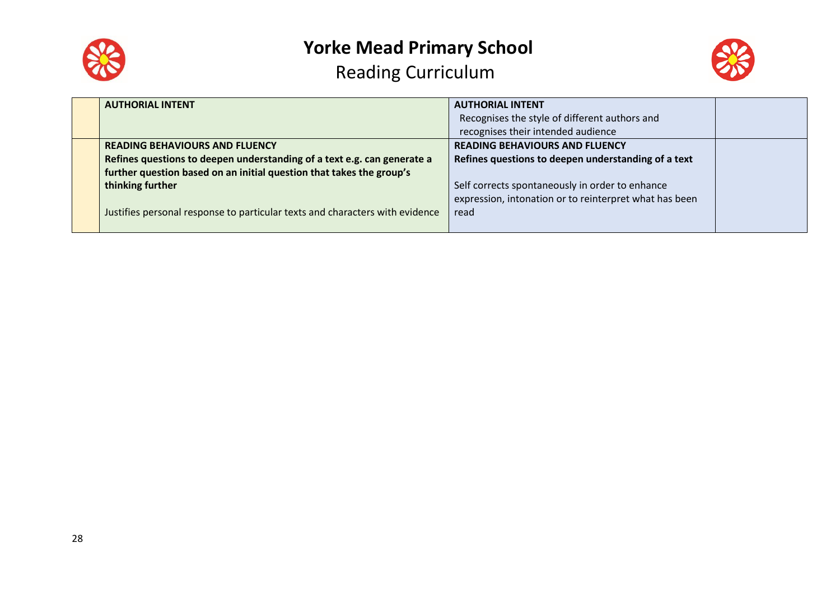



| <b>AUTHORIAL INTENT</b>                                                      | <b>AUTHORIAL INTENT</b>                                |  |
|------------------------------------------------------------------------------|--------------------------------------------------------|--|
|                                                                              | Recognises the style of different authors and          |  |
|                                                                              | recognises their intended audience                     |  |
| <b>READING BEHAVIOURS AND FLUENCY</b>                                        | <b>READING BEHAVIOURS AND FLUENCY</b>                  |  |
| Refines questions to deepen understanding of a text e.g. can generate a      | Refines questions to deepen understanding of a text    |  |
| further question based on an initial question that takes the group's         |                                                        |  |
| thinking further                                                             | Self corrects spontaneously in order to enhance        |  |
|                                                                              | expression, intonation or to reinterpret what has been |  |
| Justifies personal response to particular texts and characters with evidence | read                                                   |  |
|                                                                              |                                                        |  |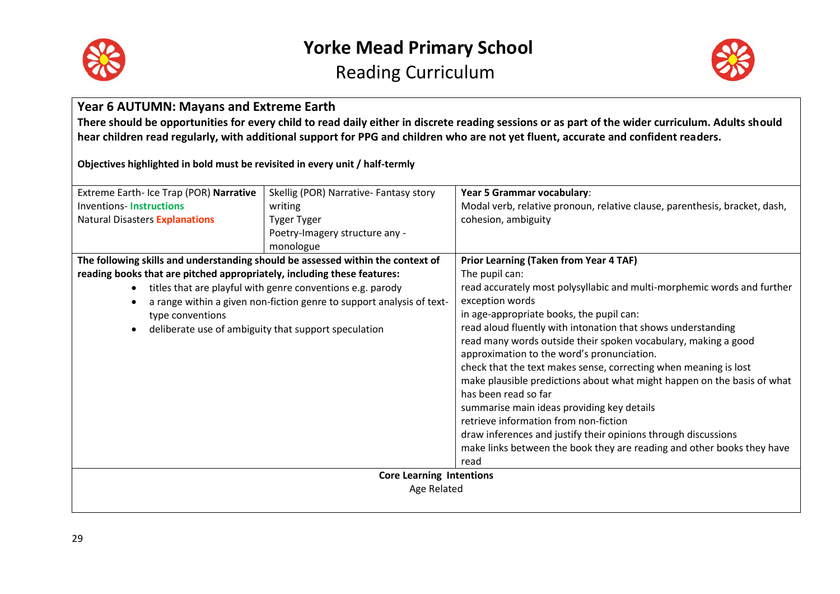



### **Year 6 AUTUMN: Mayans and Extreme Earth**

**There should be opportunities for every child to read daily either in discrete reading sessions or as part of the wider curriculum. Adults should hear children read regularly, with additional support for PPG and children who are not yet fluent, accurate and confident readers.**

**Objectives highlighted in bold must be revisited in every unit / half-termly**

| Extreme Earth- Ice Trap (POR) Narrative                                         | Skellig (POR) Narrative- Fantasy story                                | Year 5 Grammar vocabulary:                                                 |
|---------------------------------------------------------------------------------|-----------------------------------------------------------------------|----------------------------------------------------------------------------|
| <b>Inventions-Instructions</b>                                                  | writing                                                               | Modal verb, relative pronoun, relative clause, parenthesis, bracket, dash, |
| <b>Natural Disasters Explanations</b>                                           | <b>Tyger Tyger</b>                                                    | cohesion, ambiguity                                                        |
|                                                                                 | Poetry-Imagery structure any -                                        |                                                                            |
|                                                                                 | monologue                                                             |                                                                            |
| The following skills and understanding should be assessed within the context of |                                                                       | <b>Prior Learning (Taken from Year 4 TAF)</b>                              |
| reading books that are pitched appropriately, including these features:         |                                                                       | The pupil can:                                                             |
| $\bullet$                                                                       | titles that are playful with genre conventions e.g. parody            | read accurately most polysyllabic and multi-morphemic words and further    |
|                                                                                 | a range within a given non-fiction genre to support analysis of text- | exception words                                                            |
| type conventions                                                                |                                                                       | in age-appropriate books, the pupil can:                                   |
| deliberate use of ambiguity that support speculation                            |                                                                       | read aloud fluently with intonation that shows understanding               |
|                                                                                 |                                                                       | read many words outside their spoken vocabulary, making a good             |
|                                                                                 |                                                                       | approximation to the word's pronunciation.                                 |
|                                                                                 |                                                                       | check that the text makes sense, correcting when meaning is lost           |
|                                                                                 |                                                                       | make plausible predictions about what might happen on the basis of what    |
|                                                                                 |                                                                       | has been read so far                                                       |
|                                                                                 |                                                                       | summarise main ideas providing key details                                 |
|                                                                                 |                                                                       | retrieve information from non-fiction                                      |
|                                                                                 |                                                                       | draw inferences and justify their opinions through discussions             |
|                                                                                 |                                                                       | make links between the book they are reading and other books they have     |
|                                                                                 |                                                                       | read                                                                       |
|                                                                                 | <b>Core Learning Intentions</b>                                       |                                                                            |
|                                                                                 | Age Related                                                           |                                                                            |
|                                                                                 |                                                                       |                                                                            |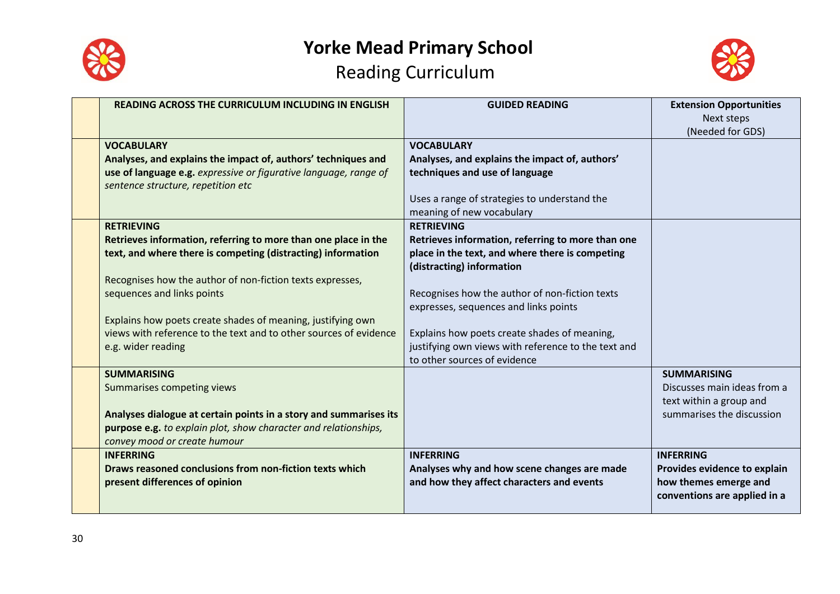



| <b>READING ACROSS THE CURRICULUM INCLUDING IN ENGLISH</b>                                                                                                                                                                                                                                                                                                                                                | <b>GUIDED READING</b>                                                                                                                                                                                                                                                                                                                                    | <b>Extension Opportunities</b><br>Next steps<br>(Needed for GDS)                                          |
|----------------------------------------------------------------------------------------------------------------------------------------------------------------------------------------------------------------------------------------------------------------------------------------------------------------------------------------------------------------------------------------------------------|----------------------------------------------------------------------------------------------------------------------------------------------------------------------------------------------------------------------------------------------------------------------------------------------------------------------------------------------------------|-----------------------------------------------------------------------------------------------------------|
| <b>VOCABULARY</b><br>Analyses, and explains the impact of, authors' techniques and<br>use of language e.g. expressive or figurative language, range of<br>sentence structure, repetition etc                                                                                                                                                                                                             | <b>VOCABULARY</b><br>Analyses, and explains the impact of, authors'<br>techniques and use of language<br>Uses a range of strategies to understand the<br>meaning of new vocabulary                                                                                                                                                                       |                                                                                                           |
| <b>RETRIEVING</b><br>Retrieves information, referring to more than one place in the<br>text, and where there is competing (distracting) information<br>Recognises how the author of non-fiction texts expresses,<br>sequences and links points<br>Explains how poets create shades of meaning, justifying own<br>views with reference to the text and to other sources of evidence<br>e.g. wider reading | <b>RETRIEVING</b><br>Retrieves information, referring to more than one<br>place in the text, and where there is competing<br>(distracting) information<br>Recognises how the author of non-fiction texts<br>expresses, sequences and links points<br>Explains how poets create shades of meaning,<br>justifying own views with reference to the text and |                                                                                                           |
| <b>SUMMARISING</b><br>Summarises competing views<br>Analyses dialogue at certain points in a story and summarises its<br>purpose e.g. to explain plot, show character and relationships,<br>convey mood or create humour                                                                                                                                                                                 | to other sources of evidence                                                                                                                                                                                                                                                                                                                             | <b>SUMMARISING</b><br>Discusses main ideas from a<br>text within a group and<br>summarises the discussion |
| <b>INFERRING</b><br>Draws reasoned conclusions from non-fiction texts which<br>present differences of opinion                                                                                                                                                                                                                                                                                            | <b>INFERRING</b><br>Analyses why and how scene changes are made<br>and how they affect characters and events                                                                                                                                                                                                                                             | <b>INFERRING</b><br>Provides evidence to explain<br>how themes emerge and<br>conventions are applied in a |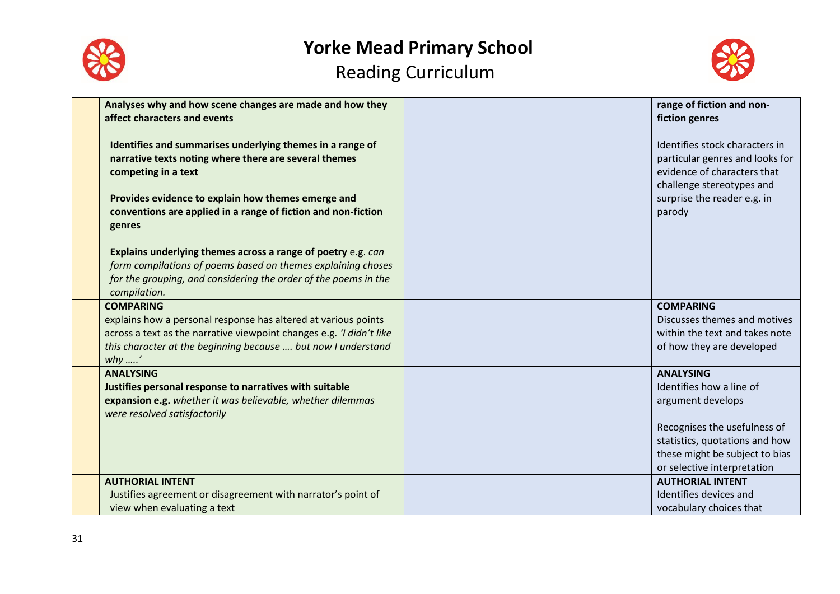



| Analyses why and how scene changes are made and how they<br>affect characters and events                                                                                                                                                                                                                                                   | range of fiction and non-<br>fiction genres                                                                                                                            |
|--------------------------------------------------------------------------------------------------------------------------------------------------------------------------------------------------------------------------------------------------------------------------------------------------------------------------------------------|------------------------------------------------------------------------------------------------------------------------------------------------------------------------|
| Identifies and summarises underlying themes in a range of<br>narrative texts noting where there are several themes<br>competing in a text<br>Provides evidence to explain how themes emerge and<br>conventions are applied in a range of fiction and non-fiction<br>genres<br>Explains underlying themes across a range of poetry e.g. can | Identifies stock characters in<br>particular genres and looks for<br>evidence of characters that<br>challenge stereotypes and<br>surprise the reader e.g. in<br>parody |
| form compilations of poems based on themes explaining choses<br>for the grouping, and considering the order of the poems in the<br>compilation.                                                                                                                                                                                            |                                                                                                                                                                        |
| <b>COMPARING</b>                                                                                                                                                                                                                                                                                                                           | <b>COMPARING</b>                                                                                                                                                       |
| explains how a personal response has altered at various points<br>across a text as the narrative viewpoint changes e.g. 'I didn't like                                                                                                                                                                                                     | Discusses themes and motives<br>within the text and takes note                                                                                                         |
| this character at the beginning because  but now I understand<br>why ….'                                                                                                                                                                                                                                                                   | of how they are developed                                                                                                                                              |
| <b>ANALYSING</b>                                                                                                                                                                                                                                                                                                                           | <b>ANALYSING</b>                                                                                                                                                       |
| Justifies personal response to narratives with suitable                                                                                                                                                                                                                                                                                    | Identifies how a line of                                                                                                                                               |
| expansion e.g. whether it was believable, whether dilemmas<br>were resolved satisfactorily                                                                                                                                                                                                                                                 | argument develops                                                                                                                                                      |
|                                                                                                                                                                                                                                                                                                                                            | Recognises the usefulness of                                                                                                                                           |
|                                                                                                                                                                                                                                                                                                                                            | statistics, quotations and how                                                                                                                                         |
|                                                                                                                                                                                                                                                                                                                                            | these might be subject to bias                                                                                                                                         |
|                                                                                                                                                                                                                                                                                                                                            | or selective interpretation                                                                                                                                            |
| <b>AUTHORIAL INTENT</b>                                                                                                                                                                                                                                                                                                                    | <b>AUTHORIAL INTENT</b>                                                                                                                                                |
| Justifies agreement or disagreement with narrator's point of                                                                                                                                                                                                                                                                               | Identifies devices and                                                                                                                                                 |
| view when evaluating a text                                                                                                                                                                                                                                                                                                                | vocabulary choices that                                                                                                                                                |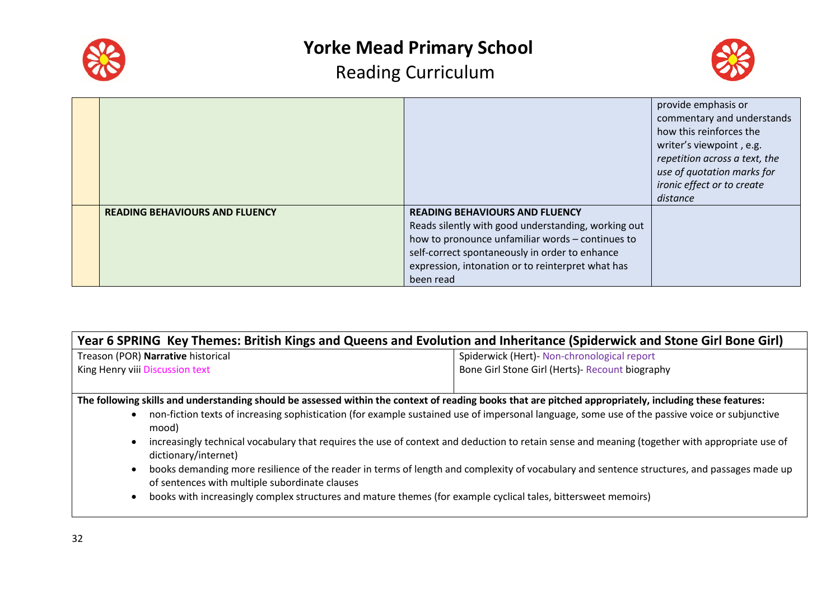



|                                       |                                                     | provide emphasis or           |
|---------------------------------------|-----------------------------------------------------|-------------------------------|
|                                       |                                                     | commentary and understands    |
|                                       |                                                     | how this reinforces the       |
|                                       |                                                     | writer's viewpoint, e.g.      |
|                                       |                                                     | repetition across a text, the |
|                                       |                                                     | use of quotation marks for    |
|                                       |                                                     | ironic effect or to create    |
|                                       |                                                     | distance                      |
| <b>READING BEHAVIOURS AND FLUENCY</b> | <b>READING BEHAVIOURS AND FLUENCY</b>               |                               |
|                                       | Reads silently with good understanding, working out |                               |
|                                       | how to pronounce unfamiliar words - continues to    |                               |
|                                       | self-correct spontaneously in order to enhance      |                               |
|                                       | expression, intonation or to reinterpret what has   |                               |
|                                       | been read                                           |                               |

| Year 6 SPRING Key Themes: British Kings and Queens and Evolution and Inheritance (Spiderwick and Stone Girl Bone Girl)                                  |                                                 |  |  |  |
|---------------------------------------------------------------------------------------------------------------------------------------------------------|-------------------------------------------------|--|--|--|
| Treason (POR) Narrative historical                                                                                                                      | Spiderwick (Hert)- Non-chronological report     |  |  |  |
| King Henry viii Discussion text                                                                                                                         | Bone Girl Stone Girl (Herts)- Recount biography |  |  |  |
|                                                                                                                                                         |                                                 |  |  |  |
| The following skills and understanding should be assessed within the context of reading books that are pitched appropriately, including these features: |                                                 |  |  |  |
| non-fiction texts of increasing sophistication (for example sustained use of impersonal language, some use of the passive voice or subjunctive<br>mood) |                                                 |  |  |  |
| increasingly technical vocabulary that requires the use of context and deduction to retain sense and meaning (together with appropriate use of          |                                                 |  |  |  |

- dictionary/internet)
- books demanding more resilience of the reader in terms of length and complexity of vocabulary and sentence structures, and passages made up of sentences with multiple subordinate clauses
- books with increasingly complex structures and mature themes (for example cyclical tales, bittersweet memoirs)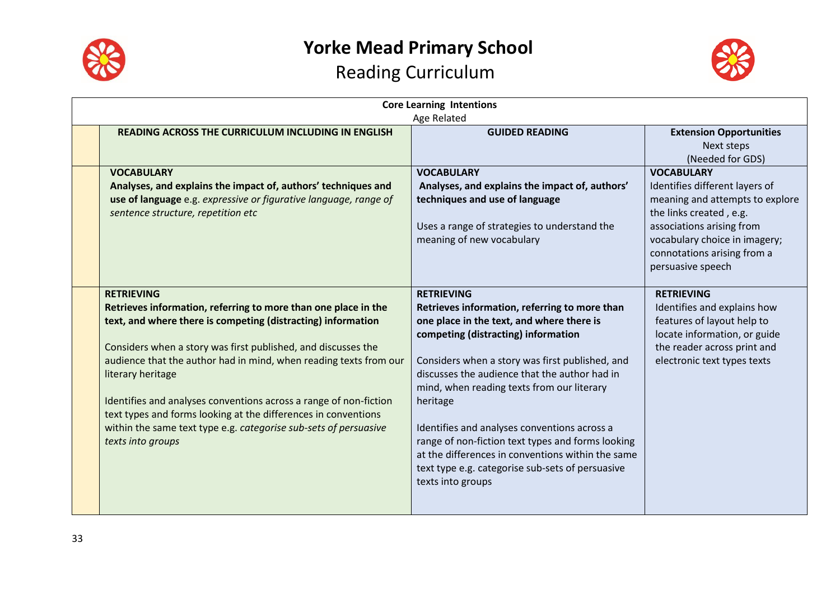



| <b>Core Learning Intentions</b><br>Age Related                                                                                                                                                                                                                                                                                                                                                                                                                                                                                                 |                                                                                                                                                                                                                                                                                                                                                                                                                                                                                                                                                         |                                                                                                                                                                                                                                     |  |
|------------------------------------------------------------------------------------------------------------------------------------------------------------------------------------------------------------------------------------------------------------------------------------------------------------------------------------------------------------------------------------------------------------------------------------------------------------------------------------------------------------------------------------------------|---------------------------------------------------------------------------------------------------------------------------------------------------------------------------------------------------------------------------------------------------------------------------------------------------------------------------------------------------------------------------------------------------------------------------------------------------------------------------------------------------------------------------------------------------------|-------------------------------------------------------------------------------------------------------------------------------------------------------------------------------------------------------------------------------------|--|
| <b>READING ACROSS THE CURRICULUM INCLUDING IN ENGLISH</b>                                                                                                                                                                                                                                                                                                                                                                                                                                                                                      | <b>GUIDED READING</b>                                                                                                                                                                                                                                                                                                                                                                                                                                                                                                                                   | <b>Extension Opportunities</b><br>Next steps<br>(Needed for GDS)                                                                                                                                                                    |  |
| <b>VOCABULARY</b><br>Analyses, and explains the impact of, authors' techniques and<br>use of language e.g. expressive or figurative language, range of<br>sentence structure, repetition etc                                                                                                                                                                                                                                                                                                                                                   | <b>VOCABULARY</b><br>Analyses, and explains the impact of, authors'<br>techniques and use of language<br>Uses a range of strategies to understand the<br>meaning of new vocabulary                                                                                                                                                                                                                                                                                                                                                                      | <b>VOCABULARY</b><br>Identifies different layers of<br>meaning and attempts to explore<br>the links created, e.g.<br>associations arising from<br>vocabulary choice in imagery;<br>connotations arising from a<br>persuasive speech |  |
| <b>RETRIEVING</b><br>Retrieves information, referring to more than one place in the<br>text, and where there is competing (distracting) information<br>Considers when a story was first published, and discusses the<br>audience that the author had in mind, when reading texts from our<br>literary heritage<br>Identifies and analyses conventions across a range of non-fiction<br>text types and forms looking at the differences in conventions<br>within the same text type e.g. categorise sub-sets of persuasive<br>texts into groups | <b>RETRIEVING</b><br>Retrieves information, referring to more than<br>one place in the text, and where there is<br>competing (distracting) information<br>Considers when a story was first published, and<br>discusses the audience that the author had in<br>mind, when reading texts from our literary<br>heritage<br>Identifies and analyses conventions across a<br>range of non-fiction text types and forms looking<br>at the differences in conventions within the same<br>text type e.g. categorise sub-sets of persuasive<br>texts into groups | <b>RETRIEVING</b><br>Identifies and explains how<br>features of layout help to<br>locate information, or guide<br>the reader across print and<br>electronic text types texts                                                        |  |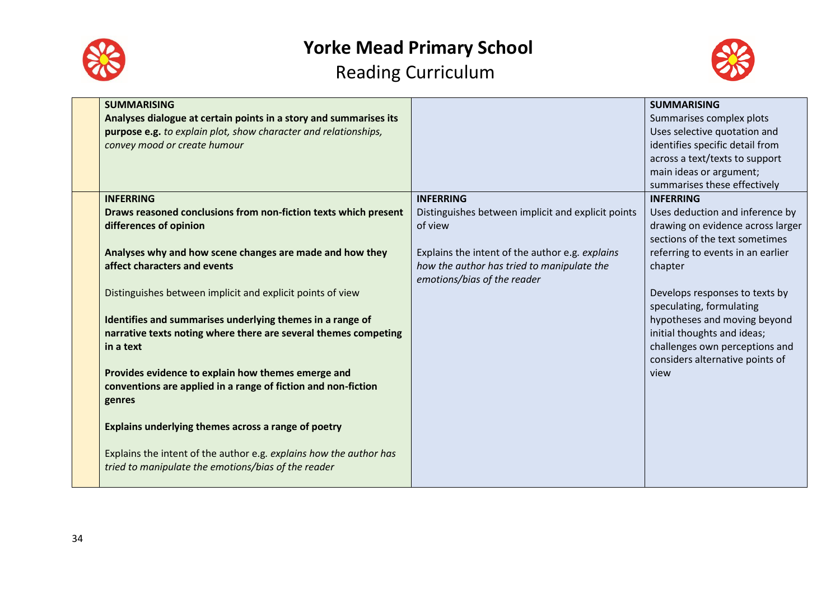



| <b>SUMMARISING</b><br>Analyses dialogue at certain points in a story and summarises its<br>purpose e.g. to explain plot, show character and relationships,<br>convey mood or create humour |                                                                                                                              | <b>SUMMARISING</b><br>Summarises complex plots<br>Uses selective quotation and<br>identifies specific detail from<br>across a text/texts to support<br>main ideas or argument;<br>summarises these effectively |
|--------------------------------------------------------------------------------------------------------------------------------------------------------------------------------------------|------------------------------------------------------------------------------------------------------------------------------|----------------------------------------------------------------------------------------------------------------------------------------------------------------------------------------------------------------|
| <b>INFERRING</b>                                                                                                                                                                           | <b>INFERRING</b>                                                                                                             | <b>INFERRING</b>                                                                                                                                                                                               |
| Draws reasoned conclusions from non-fiction texts which present<br>differences of opinion                                                                                                  | Distinguishes between implicit and explicit points<br>of view                                                                | Uses deduction and inference by<br>drawing on evidence across larger<br>sections of the text sometimes                                                                                                         |
| Analyses why and how scene changes are made and how they<br>affect characters and events                                                                                                   | Explains the intent of the author e.g. explains<br>how the author has tried to manipulate the<br>emotions/bias of the reader | referring to events in an earlier<br>chapter                                                                                                                                                                   |
| Distinguishes between implicit and explicit points of view<br>Identifies and summarises underlying themes in a range of<br>narrative texts noting where there are several themes competing |                                                                                                                              | Develops responses to texts by<br>speculating, formulating<br>hypotheses and moving beyond<br>initial thoughts and ideas;                                                                                      |
| in a text<br>Provides evidence to explain how themes emerge and                                                                                                                            |                                                                                                                              | challenges own perceptions and<br>considers alternative points of<br>view                                                                                                                                      |
| conventions are applied in a range of fiction and non-fiction<br>genres                                                                                                                    |                                                                                                                              |                                                                                                                                                                                                                |
| Explains underlying themes across a range of poetry                                                                                                                                        |                                                                                                                              |                                                                                                                                                                                                                |
| Explains the intent of the author e.g. explains how the author has<br>tried to manipulate the emotions/bias of the reader                                                                  |                                                                                                                              |                                                                                                                                                                                                                |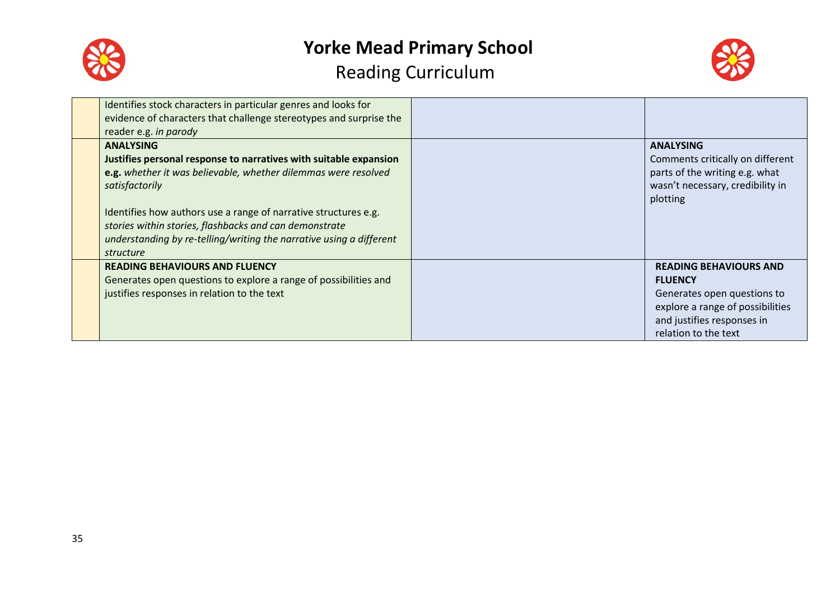



| Identifies stock characters in particular genres and looks for<br>evidence of characters that challenge stereotypes and surprise the<br>reader e.g. in parody                                                                                                                                                                                                                              |                                                                                                                                                                          |
|--------------------------------------------------------------------------------------------------------------------------------------------------------------------------------------------------------------------------------------------------------------------------------------------------------------------------------------------------------------------------------------------|--------------------------------------------------------------------------------------------------------------------------------------------------------------------------|
| <b>ANALYSING</b><br>Justifies personal response to narratives with suitable expansion<br>e.g. whether it was believable, whether dilemmas were resolved<br>satisfactorily<br>Identifies how authors use a range of narrative structures e.g.<br>stories within stories, flashbacks and can demonstrate<br>understanding by re-telling/writing the narrative using a different<br>structure | <b>ANALYSING</b><br>Comments critically on different<br>parts of the writing e.g. what<br>wasn't necessary, credibility in<br>plotting                                   |
| <b>READING BEHAVIOURS AND FLUENCY</b><br>Generates open questions to explore a range of possibilities and<br>justifies responses in relation to the text                                                                                                                                                                                                                                   | <b>READING BEHAVIOURS AND</b><br><b>FLUENCY</b><br>Generates open questions to<br>explore a range of possibilities<br>and justifies responses in<br>relation to the text |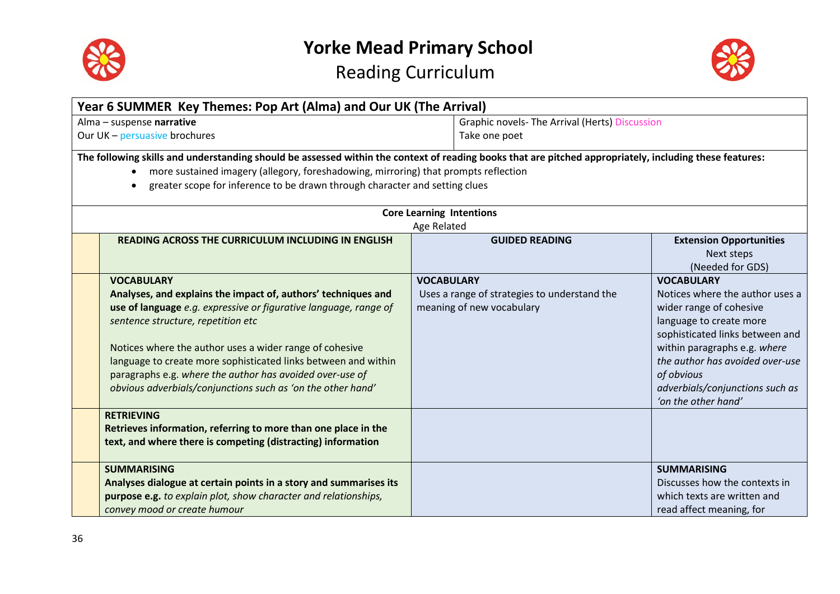



| Year 6 SUMMER Key Themes: Pop Art (Alma) and Our UK (The Arrival)                                                                                                                                                                                                                                                                                                                                                                                                         |                                                                                                |                                                                                                                                                                                                                                                                                          |  |  |  |  |
|---------------------------------------------------------------------------------------------------------------------------------------------------------------------------------------------------------------------------------------------------------------------------------------------------------------------------------------------------------------------------------------------------------------------------------------------------------------------------|------------------------------------------------------------------------------------------------|------------------------------------------------------------------------------------------------------------------------------------------------------------------------------------------------------------------------------------------------------------------------------------------|--|--|--|--|
| Alma - suspense narrative                                                                                                                                                                                                                                                                                                                                                                                                                                                 |                                                                                                | <b>Graphic novels- The Arrival (Herts) Discussion</b>                                                                                                                                                                                                                                    |  |  |  |  |
| Our UK - persuasive brochures                                                                                                                                                                                                                                                                                                                                                                                                                                             | Take one poet                                                                                  |                                                                                                                                                                                                                                                                                          |  |  |  |  |
| The following skills and understanding should be assessed within the context of reading books that are pitched appropriately, including these features:<br>more sustained imagery (allegory, foreshadowing, mirroring) that prompts reflection<br>greater scope for inference to be drawn through character and setting clues                                                                                                                                             |                                                                                                |                                                                                                                                                                                                                                                                                          |  |  |  |  |
| <b>Core Learning Intentions</b><br>Age Related                                                                                                                                                                                                                                                                                                                                                                                                                            |                                                                                                |                                                                                                                                                                                                                                                                                          |  |  |  |  |
| <b>READING ACROSS THE CURRICULUM INCLUDING IN ENGLISH</b>                                                                                                                                                                                                                                                                                                                                                                                                                 | <b>GUIDED READING</b>                                                                          | <b>Extension Opportunities</b><br>Next steps<br>(Needed for GDS)                                                                                                                                                                                                                         |  |  |  |  |
| <b>VOCABULARY</b><br>Analyses, and explains the impact of, authors' techniques and<br>use of language e.g. expressive or figurative language, range of<br>sentence structure, repetition etc<br>Notices where the author uses a wider range of cohesive<br>language to create more sophisticated links between and within<br>paragraphs e.g. where the author has avoided over-use of<br>obvious adverbials/conjunctions such as 'on the other hand'<br><b>RETRIEVING</b> | <b>VOCABULARY</b><br>Uses a range of strategies to understand the<br>meaning of new vocabulary | <b>VOCABULARY</b><br>Notices where the author uses a<br>wider range of cohesive<br>language to create more<br>sophisticated links between and<br>within paragraphs e.g. where<br>the author has avoided over-use<br>of obvious<br>adverbials/conjunctions such as<br>'on the other hand' |  |  |  |  |
| Retrieves information, referring to more than one place in the<br>text, and where there is competing (distracting) information                                                                                                                                                                                                                                                                                                                                            |                                                                                                |                                                                                                                                                                                                                                                                                          |  |  |  |  |
| <b>SUMMARISING</b><br>Analyses dialogue at certain points in a story and summarises its<br>purpose e.g. to explain plot, show character and relationships,<br>convey mood or create humour                                                                                                                                                                                                                                                                                |                                                                                                | <b>SUMMARISING</b><br>Discusses how the contexts in<br>which texts are written and<br>read affect meaning, for                                                                                                                                                                           |  |  |  |  |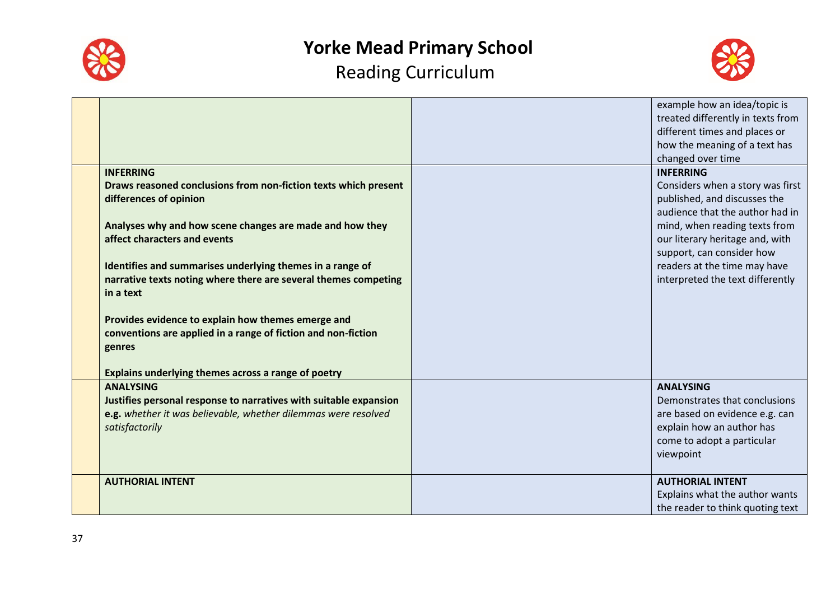



|                                                                                                                                                                           | example how an idea/topic is<br>treated differently in texts from<br>different times and places or<br>how the meaning of a text has<br>changed over time    |
|---------------------------------------------------------------------------------------------------------------------------------------------------------------------------|-------------------------------------------------------------------------------------------------------------------------------------------------------------|
| <b>INFERRING</b><br>Draws reasoned conclusions from non-fiction texts which present<br>differences of opinion                                                             | <b>INFERRING</b><br>Considers when a story was first<br>published, and discusses the<br>audience that the author had in                                     |
| Analyses why and how scene changes are made and how they<br>affect characters and events<br>Identifies and summarises underlying themes in a range of                     | mind, when reading texts from<br>our literary heritage and, with<br>support, can consider how<br>readers at the time may have                               |
| narrative texts noting where there are several themes competing<br>in a text                                                                                              | interpreted the text differently                                                                                                                            |
| Provides evidence to explain how themes emerge and<br>conventions are applied in a range of fiction and non-fiction<br>genres                                             |                                                                                                                                                             |
| Explains underlying themes across a range of poetry                                                                                                                       |                                                                                                                                                             |
| <b>ANALYSING</b><br>Justifies personal response to narratives with suitable expansion<br>e.g. whether it was believable, whether dilemmas were resolved<br>satisfactorily | <b>ANALYSING</b><br>Demonstrates that conclusions<br>are based on evidence e.g. can<br>explain how an author has<br>come to adopt a particular<br>viewpoint |
| <b>AUTHORIAL INTENT</b>                                                                                                                                                   | <b>AUTHORIAL INTENT</b><br>Explains what the author wants<br>the reader to think quoting text                                                               |